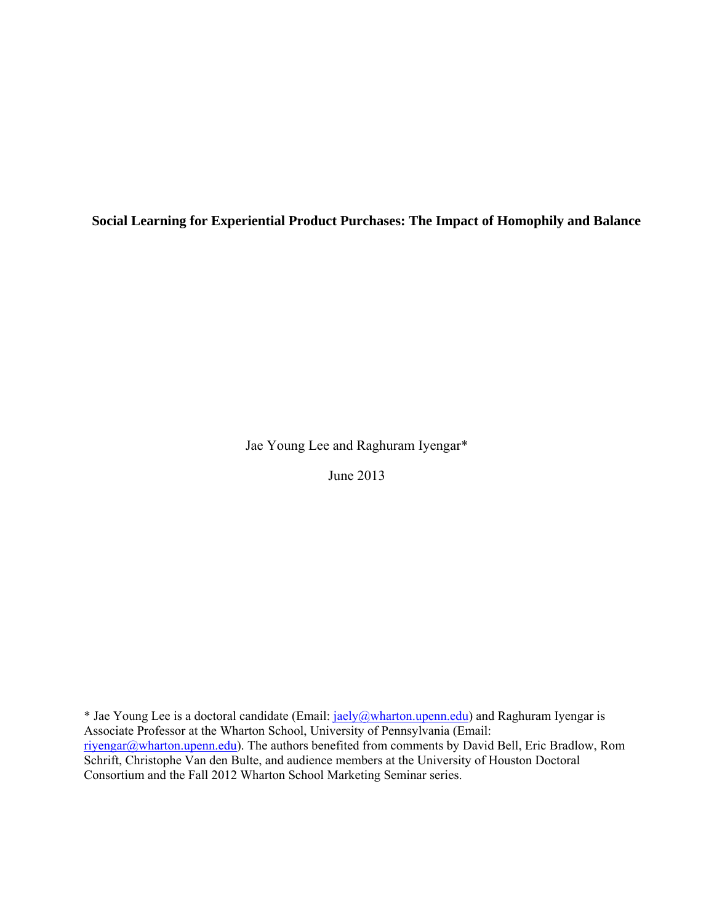**Social Learning for Experiential Product Purchases: The Impact of Homophily and Balance** 

Jae Young Lee and Raghuram Iyengar\*

June 2013

\* Jae Young Lee is a doctoral candidate (Email: jaely@wharton.upenn.edu) and Raghuram Iyengar is Associate Professor at the Wharton School, University of Pennsylvania (Email: riyengar@wharton.upenn.edu). The authors benefited from comments by David Bell, Eric Bradlow, Rom Schrift, Christophe Van den Bulte, and audience members at the University of Houston Doctoral Consortium and the Fall 2012 Wharton School Marketing Seminar series.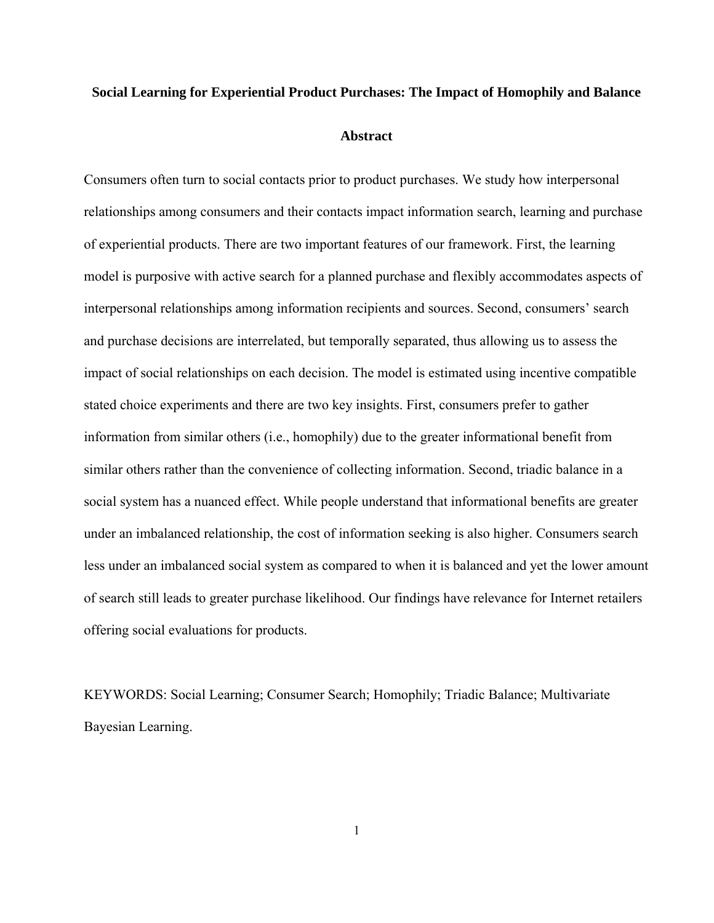# **Social Learning for Experiential Product Purchases: The Impact of Homophily and Balance**

**Abstract** 

Consumers often turn to social contacts prior to product purchases. We study how interpersonal relationships among consumers and their contacts impact information search, learning and purchase of experiential products. There are two important features of our framework. First, the learning model is purposive with active search for a planned purchase and flexibly accommodates aspects of interpersonal relationships among information recipients and sources. Second, consumers' search and purchase decisions are interrelated, but temporally separated, thus allowing us to assess the impact of social relationships on each decision. The model is estimated using incentive compatible stated choice experiments and there are two key insights. First, consumers prefer to gather information from similar others (i.e., homophily) due to the greater informational benefit from similar others rather than the convenience of collecting information. Second, triadic balance in a social system has a nuanced effect. While people understand that informational benefits are greater under an imbalanced relationship, the cost of information seeking is also higher. Consumers search less under an imbalanced social system as compared to when it is balanced and yet the lower amount of search still leads to greater purchase likelihood. Our findings have relevance for Internet retailers offering social evaluations for products.

KEYWORDS: Social Learning; Consumer Search; Homophily; Triadic Balance; Multivariate Bayesian Learning.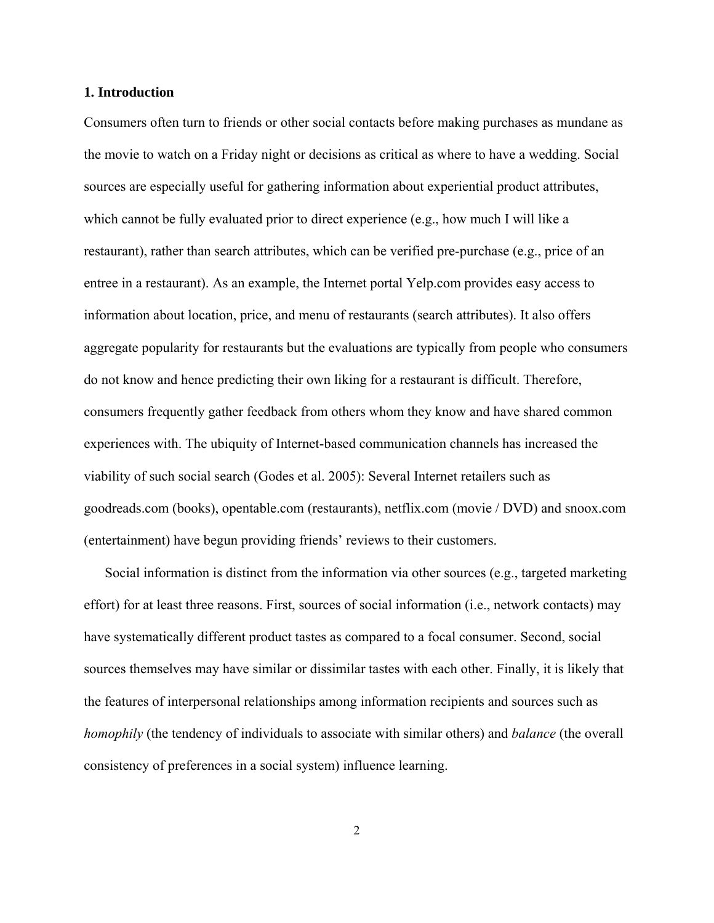#### **1. Introduction**

Consumers often turn to friends or other social contacts before making purchases as mundane as the movie to watch on a Friday night or decisions as critical as where to have a wedding. Social sources are especially useful for gathering information about experiential product attributes, which cannot be fully evaluated prior to direct experience (e.g., how much I will like a restaurant), rather than search attributes, which can be verified pre-purchase (e.g., price of an entree in a restaurant). As an example, the Internet portal Yelp.com provides easy access to information about location, price, and menu of restaurants (search attributes). It also offers aggregate popularity for restaurants but the evaluations are typically from people who consumers do not know and hence predicting their own liking for a restaurant is difficult. Therefore, consumers frequently gather feedback from others whom they know and have shared common experiences with. The ubiquity of Internet-based communication channels has increased the viability of such social search (Godes et al. 2005): Several Internet retailers such as goodreads.com (books), opentable.com (restaurants), netflix.com (movie / DVD) and snoox.com (entertainment) have begun providing friends' reviews to their customers.

 Social information is distinct from the information via other sources (e.g., targeted marketing effort) for at least three reasons. First, sources of social information (i.e., network contacts) may have systematically different product tastes as compared to a focal consumer. Second, social sources themselves may have similar or dissimilar tastes with each other. Finally, it is likely that the features of interpersonal relationships among information recipients and sources such as *homophily* (the tendency of individuals to associate with similar others) and *balance* (the overall consistency of preferences in a social system) influence learning.

2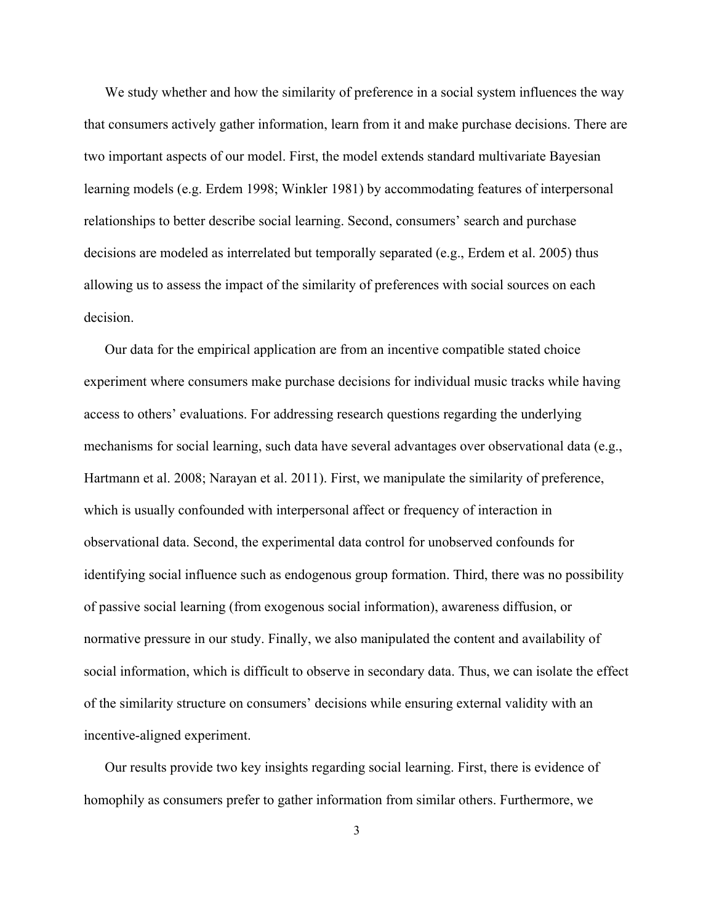We study whether and how the similarity of preference in a social system influences the way that consumers actively gather information, learn from it and make purchase decisions. There are two important aspects of our model. First, the model extends standard multivariate Bayesian learning models (e.g. Erdem 1998; Winkler 1981) by accommodating features of interpersonal relationships to better describe social learning. Second, consumers' search and purchase decisions are modeled as interrelated but temporally separated (e.g., Erdem et al. 2005) thus allowing us to assess the impact of the similarity of preferences with social sources on each decision.

 Our data for the empirical application are from an incentive compatible stated choice experiment where consumers make purchase decisions for individual music tracks while having access to others' evaluations. For addressing research questions regarding the underlying mechanisms for social learning, such data have several advantages over observational data (e.g., Hartmann et al. 2008; Narayan et al. 2011). First, we manipulate the similarity of preference, which is usually confounded with interpersonal affect or frequency of interaction in observational data. Second, the experimental data control for unobserved confounds for identifying social influence such as endogenous group formation. Third, there was no possibility of passive social learning (from exogenous social information), awareness diffusion, or normative pressure in our study. Finally, we also manipulated the content and availability of social information, which is difficult to observe in secondary data. Thus, we can isolate the effect of the similarity structure on consumers' decisions while ensuring external validity with an incentive-aligned experiment.

 Our results provide two key insights regarding social learning. First, there is evidence of homophily as consumers prefer to gather information from similar others. Furthermore, we

3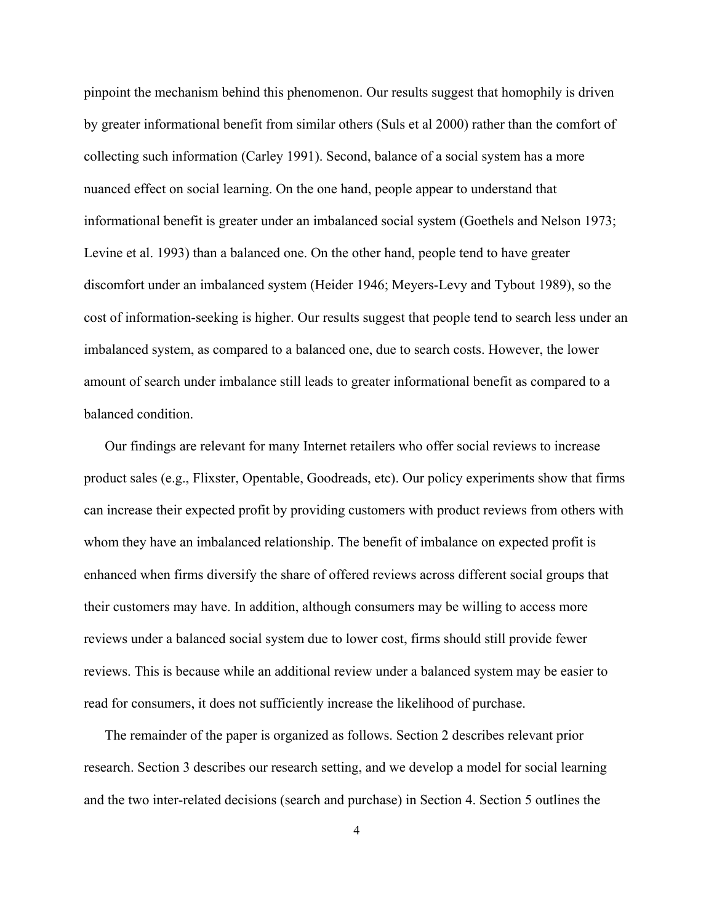pinpoint the mechanism behind this phenomenon. Our results suggest that homophily is driven by greater informational benefit from similar others (Suls et al 2000) rather than the comfort of collecting such information (Carley 1991). Second, balance of a social system has a more nuanced effect on social learning. On the one hand, people appear to understand that informational benefit is greater under an imbalanced social system (Goethels and Nelson 1973; Levine et al. 1993) than a balanced one. On the other hand, people tend to have greater discomfort under an imbalanced system (Heider 1946; Meyers-Levy and Tybout 1989), so the cost of information-seeking is higher. Our results suggest that people tend to search less under an imbalanced system, as compared to a balanced one, due to search costs. However, the lower amount of search under imbalance still leads to greater informational benefit as compared to a balanced condition.

 Our findings are relevant for many Internet retailers who offer social reviews to increase product sales (e.g., Flixster, Opentable, Goodreads, etc). Our policy experiments show that firms can increase their expected profit by providing customers with product reviews from others with whom they have an imbalanced relationship. The benefit of imbalance on expected profit is enhanced when firms diversify the share of offered reviews across different social groups that their customers may have. In addition, although consumers may be willing to access more reviews under a balanced social system due to lower cost, firms should still provide fewer reviews. This is because while an additional review under a balanced system may be easier to read for consumers, it does not sufficiently increase the likelihood of purchase.

 The remainder of the paper is organized as follows. Section 2 describes relevant prior research. Section 3 describes our research setting, and we develop a model for social learning and the two inter-related decisions (search and purchase) in Section 4. Section 5 outlines the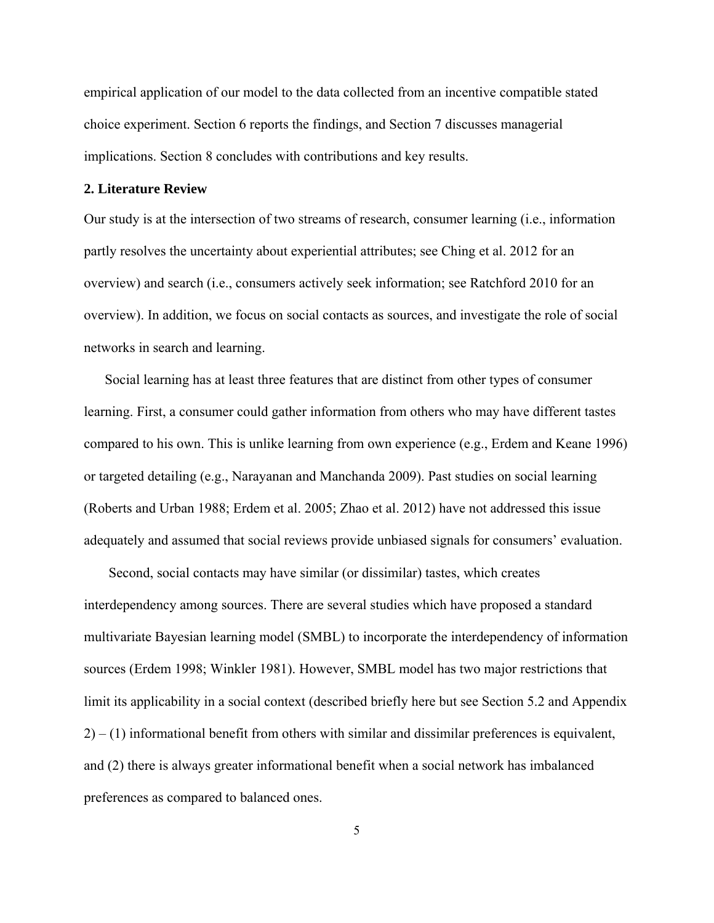empirical application of our model to the data collected from an incentive compatible stated choice experiment. Section 6 reports the findings, and Section 7 discusses managerial implications. Section 8 concludes with contributions and key results.

# **2. Literature Review**

Our study is at the intersection of two streams of research, consumer learning (i.e., information partly resolves the uncertainty about experiential attributes; see Ching et al. 2012 for an overview) and search (i.e., consumers actively seek information; see Ratchford 2010 for an overview). In addition, we focus on social contacts as sources, and investigate the role of social networks in search and learning.

 Social learning has at least three features that are distinct from other types of consumer learning. First, a consumer could gather information from others who may have different tastes compared to his own. This is unlike learning from own experience (e.g., Erdem and Keane 1996) or targeted detailing (e.g., Narayanan and Manchanda 2009). Past studies on social learning (Roberts and Urban 1988; Erdem et al. 2005; Zhao et al. 2012) have not addressed this issue adequately and assumed that social reviews provide unbiased signals for consumers' evaluation.

 Second, social contacts may have similar (or dissimilar) tastes, which creates interdependency among sources. There are several studies which have proposed a standard multivariate Bayesian learning model (SMBL) to incorporate the interdependency of information sources (Erdem 1998; Winkler 1981). However, SMBL model has two major restrictions that limit its applicability in a social context (described briefly here but see Section 5.2 and Appendix  $2) - (1)$  informational benefit from others with similar and dissimilar preferences is equivalent, and (2) there is always greater informational benefit when a social network has imbalanced preferences as compared to balanced ones.

5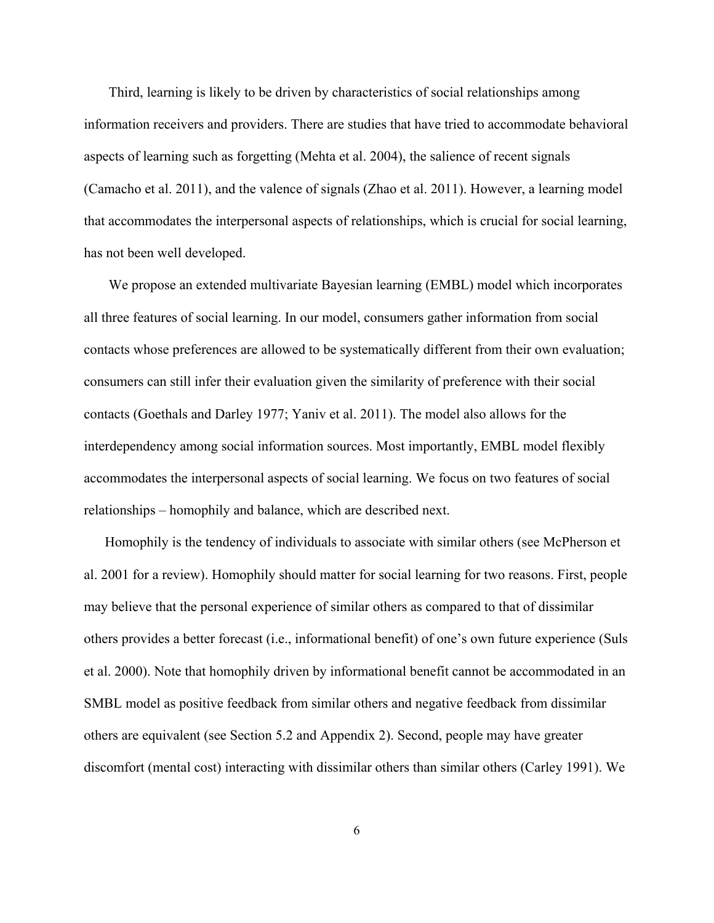Third, learning is likely to be driven by characteristics of social relationships among information receivers and providers. There are studies that have tried to accommodate behavioral aspects of learning such as forgetting (Mehta et al. 2004), the salience of recent signals (Camacho et al. 2011), and the valence of signals (Zhao et al. 2011). However, a learning model that accommodates the interpersonal aspects of relationships, which is crucial for social learning, has not been well developed.

 We propose an extended multivariate Bayesian learning (EMBL) model which incorporates all three features of social learning. In our model, consumers gather information from social contacts whose preferences are allowed to be systematically different from their own evaluation; consumers can still infer their evaluation given the similarity of preference with their social contacts (Goethals and Darley 1977; Yaniv et al. 2011). The model also allows for the interdependency among social information sources. Most importantly, EMBL model flexibly accommodates the interpersonal aspects of social learning. We focus on two features of social relationships – homophily and balance, which are described next.

Homophily is the tendency of individuals to associate with similar others (see McPherson et al. 2001 for a review). Homophily should matter for social learning for two reasons. First, people may believe that the personal experience of similar others as compared to that of dissimilar others provides a better forecast (i.e., informational benefit) of one's own future experience (Suls et al. 2000). Note that homophily driven by informational benefit cannot be accommodated in an SMBL model as positive feedback from similar others and negative feedback from dissimilar others are equivalent (see Section 5.2 and Appendix 2). Second, people may have greater discomfort (mental cost) interacting with dissimilar others than similar others (Carley 1991). We

6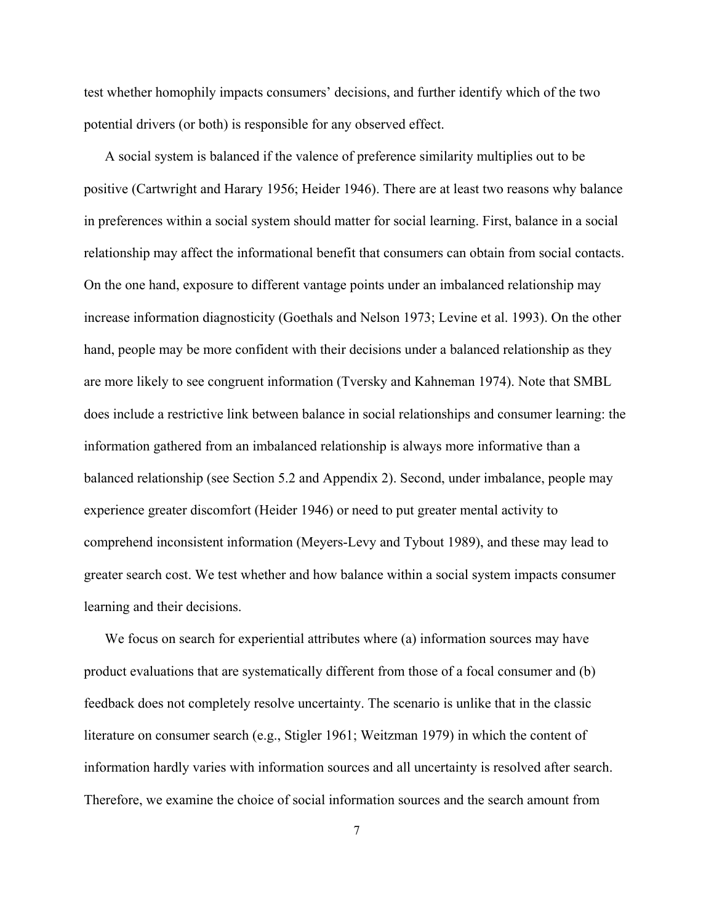test whether homophily impacts consumers' decisions, and further identify which of the two potential drivers (or both) is responsible for any observed effect.

 A social system is balanced if the valence of preference similarity multiplies out to be positive (Cartwright and Harary 1956; Heider 1946). There are at least two reasons why balance in preferences within a social system should matter for social learning. First, balance in a social relationship may affect the informational benefit that consumers can obtain from social contacts. On the one hand, exposure to different vantage points under an imbalanced relationship may increase information diagnosticity (Goethals and Nelson 1973; Levine et al. 1993). On the other hand, people may be more confident with their decisions under a balanced relationship as they are more likely to see congruent information (Tversky and Kahneman 1974). Note that SMBL does include a restrictive link between balance in social relationships and consumer learning: the information gathered from an imbalanced relationship is always more informative than a balanced relationship (see Section 5.2 and Appendix 2). Second, under imbalance, people may experience greater discomfort (Heider 1946) or need to put greater mental activity to comprehend inconsistent information (Meyers-Levy and Tybout 1989), and these may lead to greater search cost. We test whether and how balance within a social system impacts consumer learning and their decisions.

 We focus on search for experiential attributes where (a) information sources may have product evaluations that are systematically different from those of a focal consumer and (b) feedback does not completely resolve uncertainty. The scenario is unlike that in the classic literature on consumer search (e.g., Stigler 1961; Weitzman 1979) in which the content of information hardly varies with information sources and all uncertainty is resolved after search. Therefore, we examine the choice of social information sources and the search amount from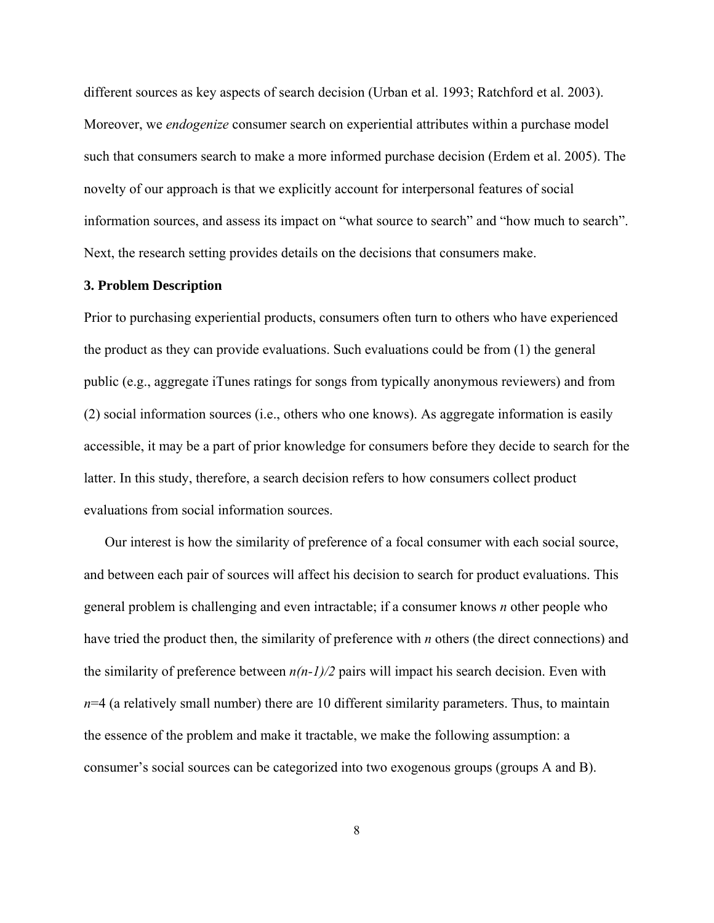different sources as key aspects of search decision (Urban et al. 1993; Ratchford et al. 2003). Moreover, we *endogenize* consumer search on experiential attributes within a purchase model such that consumers search to make a more informed purchase decision (Erdem et al. 2005). The novelty of our approach is that we explicitly account for interpersonal features of social information sources, and assess its impact on "what source to search" and "how much to search". Next, the research setting provides details on the decisions that consumers make.

#### **3. Problem Description**

Prior to purchasing experiential products, consumers often turn to others who have experienced the product as they can provide evaluations. Such evaluations could be from (1) the general public (e.g., aggregate iTunes ratings for songs from typically anonymous reviewers) and from (2) social information sources (i.e., others who one knows). As aggregate information is easily accessible, it may be a part of prior knowledge for consumers before they decide to search for the latter. In this study, therefore, a search decision refers to how consumers collect product evaluations from social information sources.

 Our interest is how the similarity of preference of a focal consumer with each social source, and between each pair of sources will affect his decision to search for product evaluations. This general problem is challenging and even intractable; if a consumer knows *n* other people who have tried the product then, the similarity of preference with *n* others (the direct connections) and the similarity of preference between  $n(n-1)/2$  pairs will impact his search decision. Even with  $n=4$  (a relatively small number) there are 10 different similarity parameters. Thus, to maintain the essence of the problem and make it tractable, we make the following assumption: a consumer's social sources can be categorized into two exogenous groups (groups A and B).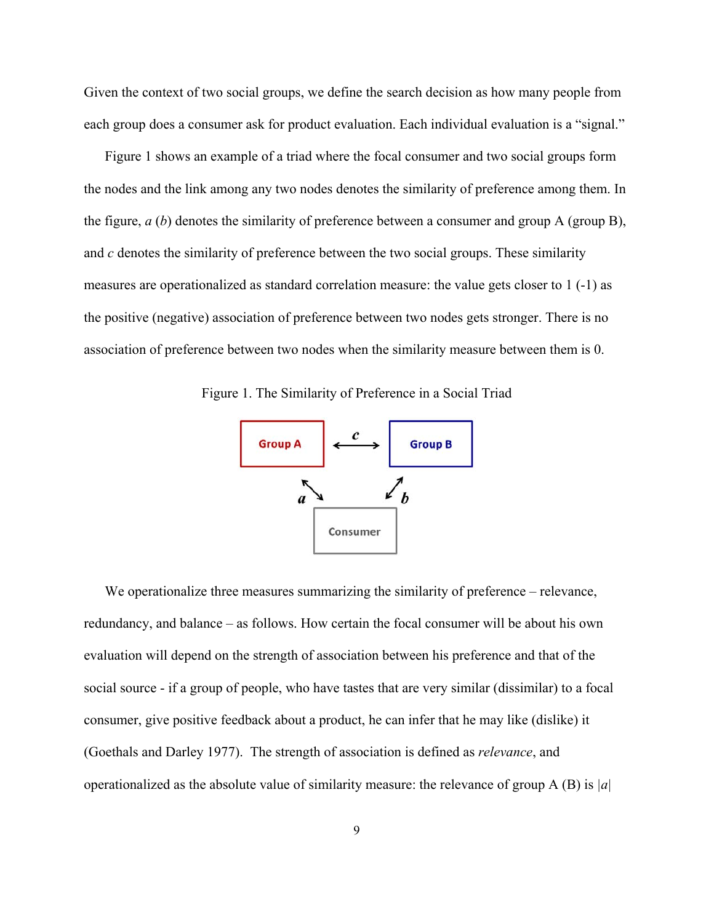Given the context of two social groups, we define the search decision as how many people from each group does a consumer ask for product evaluation. Each individual evaluation is a "signal."

 Figure 1 shows an example of a triad where the focal consumer and two social groups form the nodes and the link among any two nodes denotes the similarity of preference among them. In the figure, *a* (*b*) denotes the similarity of preference between a consumer and group A (group B), and *c* denotes the similarity of preference between the two social groups. These similarity measures are operationalized as standard correlation measure: the value gets closer to 1 (-1) as the positive (negative) association of preference between two nodes gets stronger. There is no association of preference between two nodes when the similarity measure between them is 0.

Figure 1. The Similarity of Preference in a Social Triad



We operationalize three measures summarizing the similarity of preference – relevance, redundancy, and balance – as follows. How certain the focal consumer will be about his own evaluation will depend on the strength of association between his preference and that of the social source - if a group of people, who have tastes that are very similar (dissimilar) to a focal consumer, give positive feedback about a product, he can infer that he may like (dislike) it (Goethals and Darley 1977). The strength of association is defined as *relevance*, and operationalized as the absolute value of similarity measure: the relevance of group A (B) is *|a|*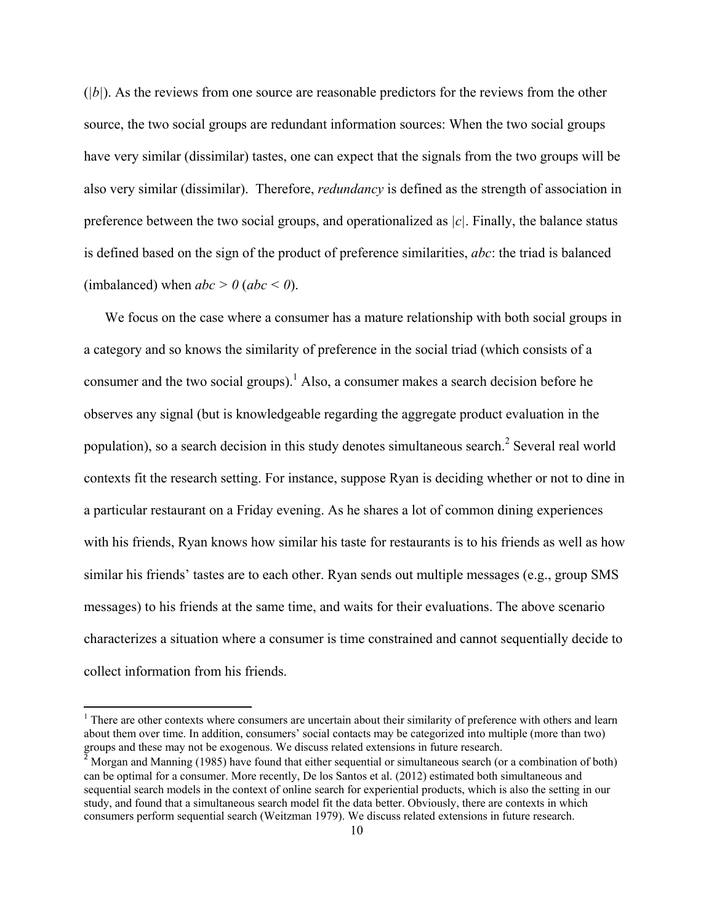(*|b|*). As the reviews from one source are reasonable predictors for the reviews from the other source, the two social groups are redundant information sources: When the two social groups have very similar (dissimilar) tastes, one can expect that the signals from the two groups will be also very similar (dissimilar). Therefore, *redundancy* is defined as the strength of association in preference between the two social groups, and operationalized as *|c|*. Finally, the balance status is defined based on the sign of the product of preference similarities, *abc*: the triad is balanced (imbalanced) when  $abc > 0$  ( $abc < 0$ ).

 We focus on the case where a consumer has a mature relationship with both social groups in a category and so knows the similarity of preference in the social triad (which consists of a consumer and the two social groups).<sup>1</sup> Also, a consumer makes a search decision before he observes any signal (but is knowledgeable regarding the aggregate product evaluation in the population), so a search decision in this study denotes simultaneous search.<sup>2</sup> Several real world contexts fit the research setting. For instance, suppose Ryan is deciding whether or not to dine in a particular restaurant on a Friday evening. As he shares a lot of common dining experiences with his friends, Ryan knows how similar his taste for restaurants is to his friends as well as how similar his friends' tastes are to each other. Ryan sends out multiple messages (e.g., group SMS messages) to his friends at the same time, and waits for their evaluations. The above scenario characterizes a situation where a consumer is time constrained and cannot sequentially decide to collect information from his friends.

<sup>&</sup>lt;sup>1</sup> There are other contexts where consumers are uncertain about their similarity of preference with others and learn about them over time. In addition, consumers' social contacts may be categorized into multiple (more than two) groups and these may not be exogenous. We discuss related extensions in future research.

<sup>&</sup>lt;sup>2</sup> Morgan and Manning (1985) have found that either sequential or simultaneous search (or a combination of both) can be optimal for a consumer. More recently, De los Santos et al. (2012) estimated both simultaneous and sequential search models in the context of online search for experiential products, which is also the setting in our study, and found that a simultaneous search model fit the data better. Obviously, there are contexts in which consumers perform sequential search (Weitzman 1979). We discuss related extensions in future research.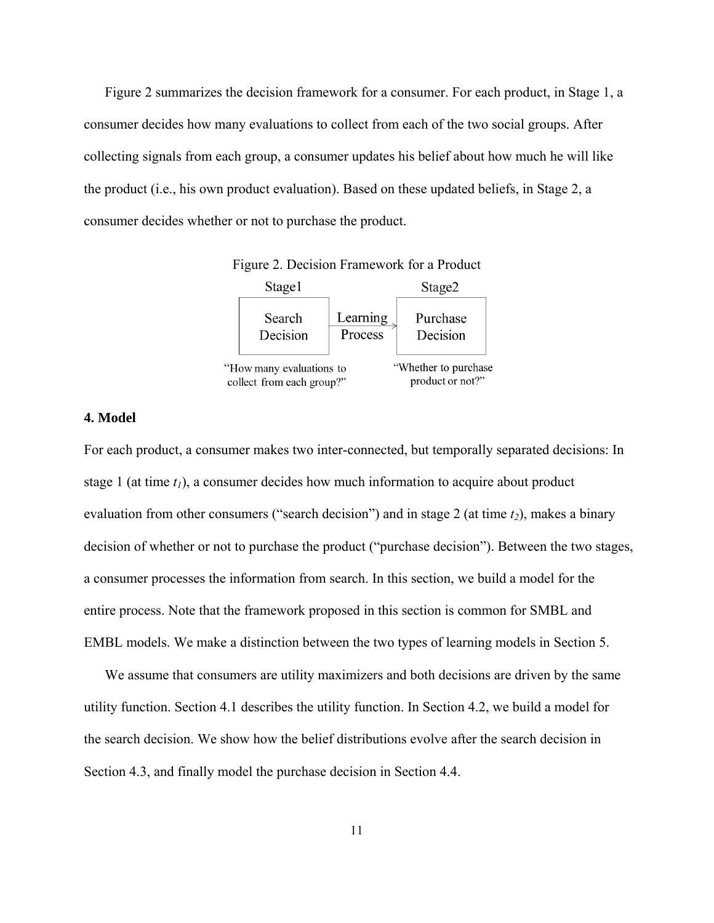Figure 2 summarizes the decision framework for a consumer. For each product, in Stage 1, a consumer decides how many evaluations to collect from each of the two social groups. After collecting signals from each group, a consumer updates his belief about how much he will like the product (i.e., his own product evaluation). Based on these updated beliefs, in Stage 2, a consumer decides whether or not to purchase the product.



Figure 2. Decision Framework for a Product

# **4. Model**

For each product, a consumer makes two inter-connected, but temporally separated decisions: In stage 1 (at time  $t_1$ ), a consumer decides how much information to acquire about product evaluation from other consumers ("search decision") and in stage 2 (at time  $t_2$ ), makes a binary decision of whether or not to purchase the product ("purchase decision"). Between the two stages, a consumer processes the information from search. In this section, we build a model for the entire process. Note that the framework proposed in this section is common for SMBL and EMBL models. We make a distinction between the two types of learning models in Section 5.

 We assume that consumers are utility maximizers and both decisions are driven by the same utility function. Section 4.1 describes the utility function. In Section 4.2, we build a model for the search decision. We show how the belief distributions evolve after the search decision in Section 4.3, and finally model the purchase decision in Section 4.4.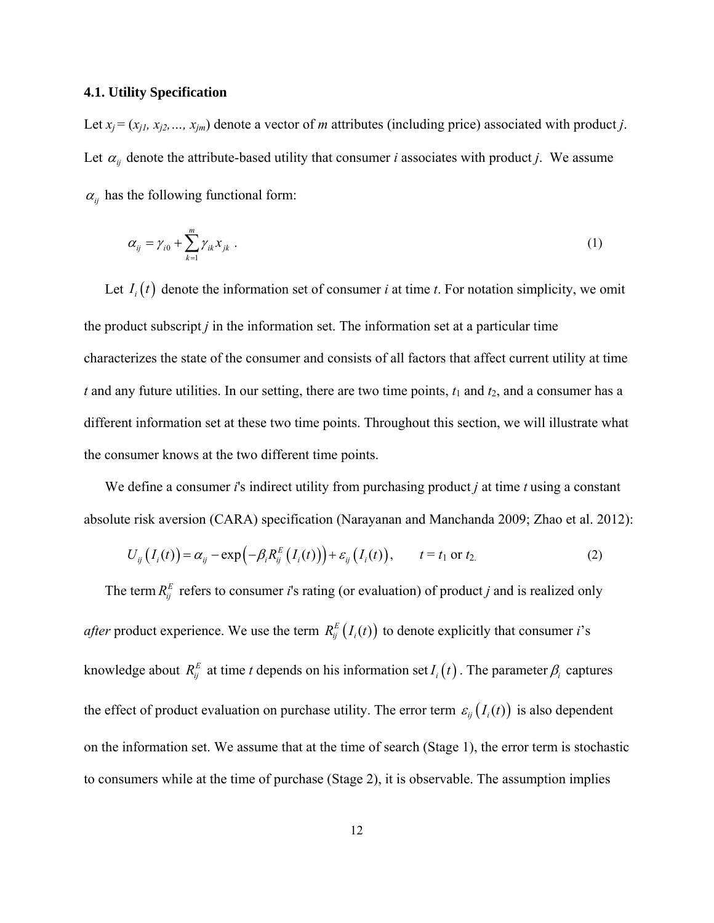# **4.1. Utility Specification**

Let  $x_j = (x_{j1}, x_{j2},..., x_{jm})$  denote a vector of *m* attributes (including price) associated with product *j*. Let  $\alpha_{ij}$  denote the attribute-based utility that consumer *i* associates with product *j*. We assume  $\alpha_{ij}$  has the following functional form:

$$
\alpha_{ij} = \gamma_{i0} + \sum_{k=1}^{m} \gamma_{ik} x_{jk} \tag{1}
$$

Let  $I_i(t)$  denote the information set of consumer *i* at time *t*. For notation simplicity, we omit the product subscript *j* in the information set. The information set at a particular time characterizes the state of the consumer and consists of all factors that affect current utility at time  $t$  and any future utilities. In our setting, there are two time points,  $t_1$  and  $t_2$ , and a consumer has a different information set at these two time points. Throughout this section, we will illustrate what the consumer knows at the two different time points.

 We define a consumer *i*'s indirect utility from purchasing product *j* at time *t* using a constant absolute risk aversion (CARA) specification (Narayanan and Manchanda 2009; Zhao et al. 2012):

$$
U_{ij}(I_i(t)) = \alpha_{ij} - \exp(-\beta_i R_{ij}^E(I_i(t))) + \varepsilon_{ij}(I_i(t)), \qquad t = t_1 \text{ or } t_2.
$$
 (2)

The term  $R_{ij}^E$  refers to consumer *i*'s rating (or evaluation) of product *j* and is realized only *after* product experience. We use the term  $R_{ij}^{E}(I_i(t))$  to denote explicitly that consumer *i*'s knowledge about  $R_{ij}^E$  at time *t* depends on his information set  $I_i(t)$ . The parameter  $\beta_i$  captures the effect of product evaluation on purchase utility. The error term  $\varepsilon_{ij}(I_i(t))$  is also dependent on the information set. We assume that at the time of search (Stage 1), the error term is stochastic to consumers while at the time of purchase (Stage 2), it is observable. The assumption implies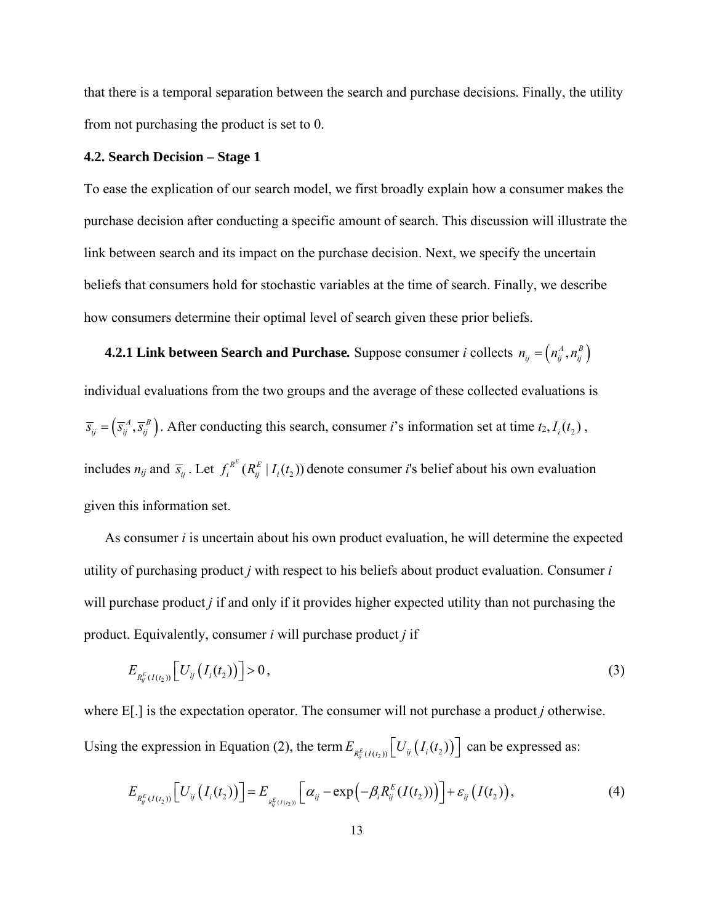that there is a temporal separation between the search and purchase decisions. Finally, the utility from not purchasing the product is set to 0.

# **4.2. Search Decision – Stage 1**

To ease the explication of our search model, we first broadly explain how a consumer makes the purchase decision after conducting a specific amount of search. This discussion will illustrate the link between search and its impact on the purchase decision. Next, we specify the uncertain beliefs that consumers hold for stochastic variables at the time of search. Finally, we describe how consumers determine their optimal level of search given these prior beliefs.

 **4.2.1 Link between Search and Purchase.** Suppose consumer *i* collects  $n_{ij} = (n_{ij}^A, n_{ij}^B)$ individual evaluations from the two groups and the average of these collected evaluations is  $\overline{s}_{ij} = (\overline{s}_{ij}^A, \overline{s}_{ij}^B)$ . After conducting this search, consumer *i*'s information set at time  $t_2, I_i(t_2)$ , includes  $n_{ij}$  and  $\bar{s}_{ij}$ . Let  $f_i^{R^E}(R^E_{ij} | I_i(t_2))$  denote consumer *i*'s belief about his own evaluation given this information set.

 As consumer *i* is uncertain about his own product evaluation, he will determine the expected utility of purchasing product *j* with respect to his beliefs about product evaluation. Consumer *i* will purchase product *j* if and only if it provides higher expected utility than not purchasing the product. Equivalently, consumer *i* will purchase product *j* if

$$
E_{R_{ij}^{E}(I(t_2))}\left[U_{ij}\left(I_i(t_2)\right)\right]>0\,,\tag{3}
$$

where E[.] is the expectation operator. The consumer will not purchase a product *j* otherwise. Using the expression in Equation (2), the term  $E_{R_{ij}^E(I(t_2))}[U_{ij}(I_i(t_2))]$  can be expressed as:

$$
E_{R_{ij}^{E}(I(t_2))}\left[U_{ij}\left(I_i(t_2)\right)\right] = E_{R_{ij}^{E}(I(t_2))}\left[\alpha_{ij} - \exp\left(-\beta_i R_{ij}^{E}(I(t_2))\right)\right] + \varepsilon_{ij}\left(I(t_2)\right),\tag{4}
$$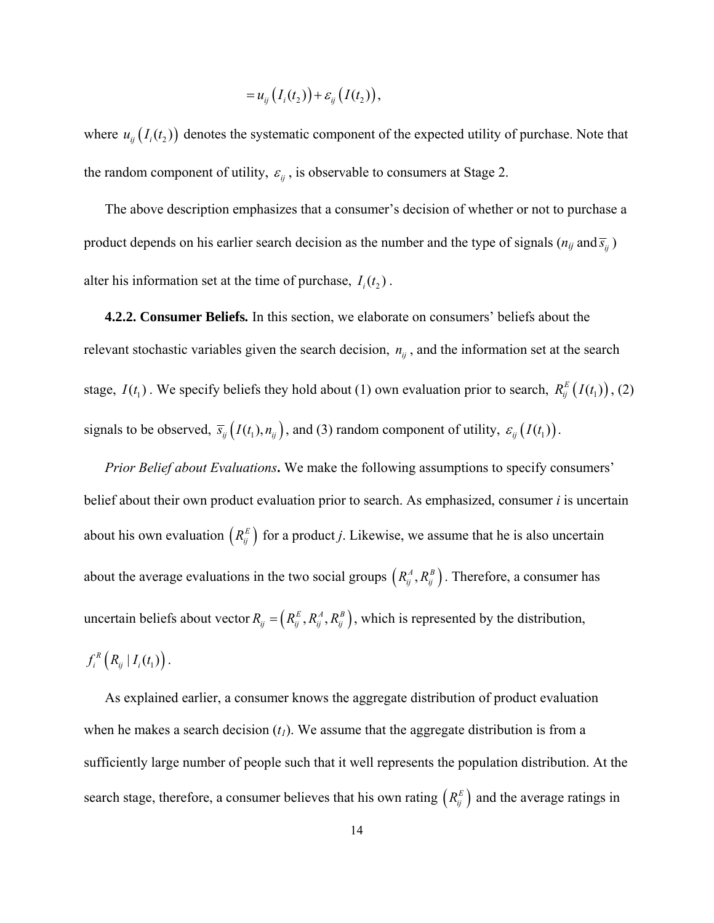$$
=u_{ij}\big(I_i(t_2)\big)+\varepsilon_{ij}\big(I(t_2)\big),
$$

where  $u_{ij}(I_i(t_2))$  denotes the systematic component of the expected utility of purchase. Note that the random component of utility,  $\varepsilon_{ij}$ , is observable to consumers at Stage 2.

 The above description emphasizes that a consumer's decision of whether or not to purchase a product depends on his earlier search decision as the number and the type of signals ( $n_{ij}$  and  $\overline{s}_{ij}$ ) alter his information set at the time of purchase,  $I_i(t_2)$ .

 **4.2.2. Consumer Beliefs***.* In this section, we elaborate on consumers' beliefs about the relevant stochastic variables given the search decision,  $n_{ij}$ , and the information set at the search stage,  $I(t_1)$ . We specify beliefs they hold about (1) own evaluation prior to search,  $R_{ij}^E(I(t_1))$ , (2) signals to be observed,  $\bar{s}_{ij} (I(t_1), n_{ij})$ , and (3) random component of utility,  $\epsilon_{ij} (I(t_1))$ .

*Prior Belief about Evaluations***.** We make the following assumptions to specify consumers' belief about their own product evaluation prior to search. As emphasized, consumer *i* is uncertain about his own evaluation  $(R_{ij}^E)$  for a product *j*. Likewise, we assume that he is also uncertain about the average evaluations in the two social groups  $(R_{ij}^A, R_{ij}^B)$ . Therefore, a consumer has uncertain beliefs about vector  $R_{ij} = (R_{ij}^E, R_{ij}^A, R_{ij}^B)$ , which is represented by the distribution,  $f_i^R\left(R_{ij} | I_i(t_1)\right)$ .

 As explained earlier, a consumer knows the aggregate distribution of product evaluation when he makes a search decision  $(t_1)$ . We assume that the aggregate distribution is from a sufficiently large number of people such that it well represents the population distribution. At the search stage, therefore, a consumer believes that his own rating  $(R_{ij}^E)$  and the average ratings in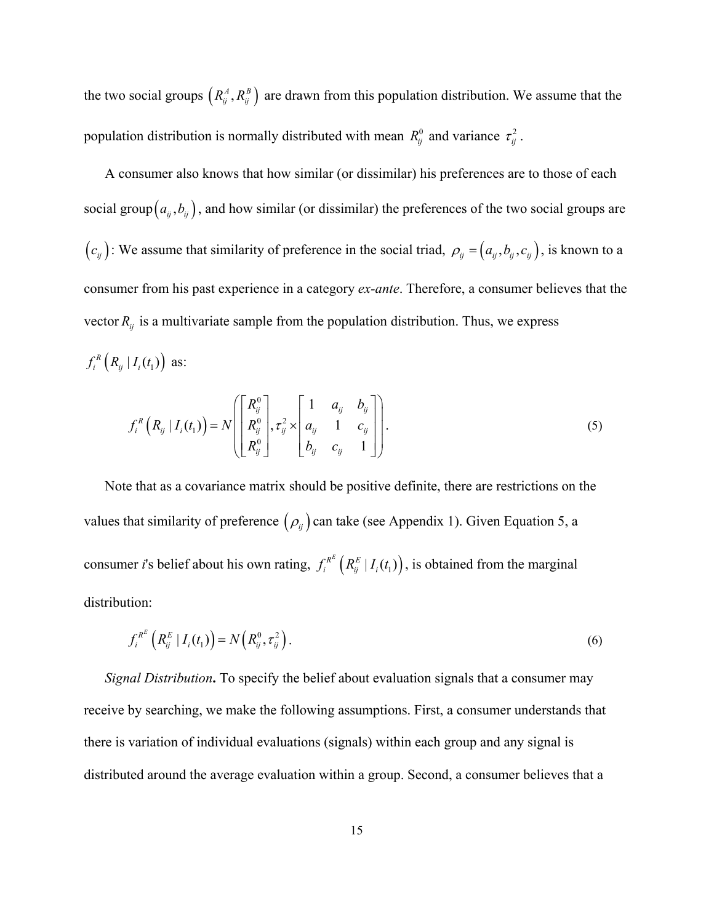the two social groups  $(R_{ij}^A, R_{ij}^B)$  are drawn from this population distribution. We assume that the population distribution is normally distributed with mean  $R_{ij}^0$  and variance  $\tau_{ij}^2$ .

 A consumer also knows that how similar (or dissimilar) his preferences are to those of each social group  $\left( a_{ij}, b_{ij} \right)$ , and how similar (or dissimilar) the preferences of the two social groups are  $(c_{ij})$ : We assume that similarity of preference in the social triad,  $\rho_{ij} = (a_{ij}, b_{ij}, c_{ij})$ , is known to a consumer from his past experience in a category *ex-ante*. Therefore, a consumer believes that the vector  $R_{ij}$  is a multivariate sample from the population distribution. Thus, we express  $f_i^R\left(R_{ij} | I_i(t_1)\right)$  as:

$$
f_i^R\left(R_{ij} | I_i(t_1)\right) = N \left( \begin{bmatrix} R_{ij}^0 \\ R_{ij}^0 \\ R_{ij}^0 \end{bmatrix}, \tau_{ij}^2 \times \begin{bmatrix} 1 & a_{ij} & b_{ij} \\ a_{ij} & 1 & c_{ij} \\ b_{ij} & c_{ij} & 1 \end{bmatrix} \right).
$$
 (5)

 Note that as a covariance matrix should be positive definite, there are restrictions on the values that similarity of preference  $(\rho_{ij})$  can take (see Appendix 1). Given Equation 5, a consumer *i*'s belief about his own rating,  $f_i^{R^E} (R^E_{ij} | I_i(t_1))$ , is obtained from the marginal distribution:

$$
f_i^{R^E} \left( R_{ij}^E \mid I_i(t_1) \right) = N \left( R_{ij}^0, \tau_{ij}^2 \right). \tag{6}
$$

 *Signal Distribution***.** To specify the belief about evaluation signals that a consumer may receive by searching, we make the following assumptions. First, a consumer understands that there is variation of individual evaluations (signals) within each group and any signal is distributed around the average evaluation within a group. Second, a consumer believes that a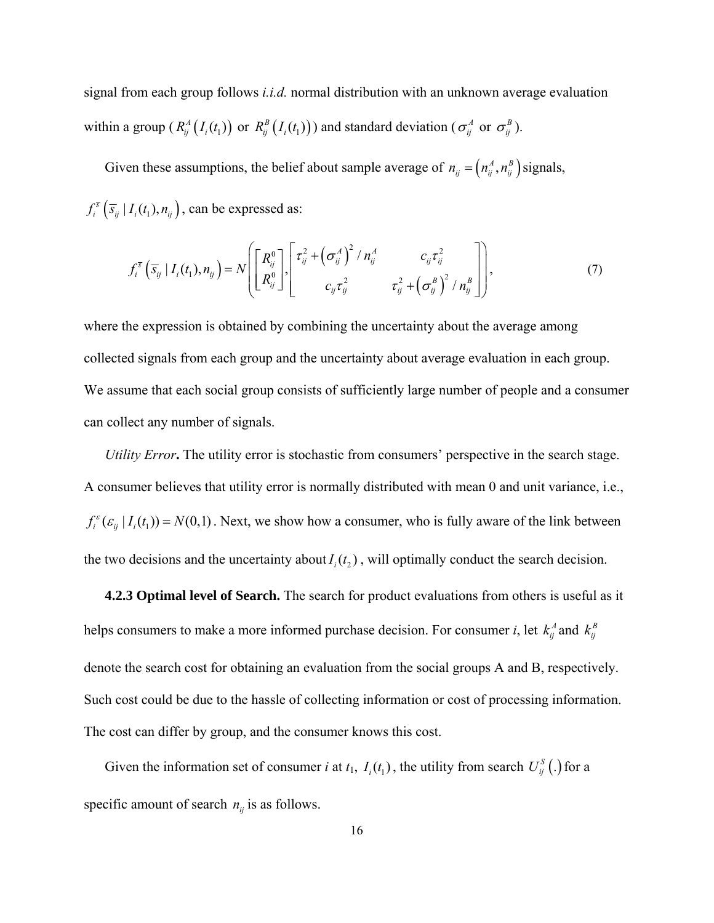signal from each group follows *i.i.d.* normal distribution with an unknown average evaluation within a group ( $R_{ij}^A(I_i(t_1))$  or  $R_{ij}^B(I_i(t_1))$ ) and standard deviation ( $\sigma_{ij}^A$  or  $\sigma_{ij}^B$ ).

Given these assumptions, the belief about sample average of  $n_{ij} = (n_{ij}^A, n_{ij}^B)$  signals,  $f_i^{\bar{s}}(\bar{s}_{ij} | I_i(t_1), n_{ij})$ , can be expressed as:

$$
f_i^{\overline{s}}\left(\overline{s}_{ij} | I_i(t_1), n_{ij}\right) = N \left[ \begin{bmatrix} R_{ij}^0 \\ R_{ij}^0 \end{bmatrix} \begin{bmatrix} \tau_{ij}^2 + \left(\sigma_{ij}^A\right)^2 / n_{ij}^A & c_{ij} \tau_{ij}^2 \\ c_{ij} \tau_{ij}^2 & \tau_{ij}^2 + \left(\sigma_{ij}^B\right)^2 / n_{ij}^B \end{bmatrix} \right],
$$
(7)

where the expression is obtained by combining the uncertainty about the average among collected signals from each group and the uncertainty about average evaluation in each group. We assume that each social group consists of sufficiently large number of people and a consumer can collect any number of signals.

*Utility Error***.** The utility error is stochastic from consumers' perspective in the search stage. A consumer believes that utility error is normally distributed with mean 0 and unit variance, i.e.,  $f_i^{\varepsilon}(\varepsilon_{ij} | I_i(t_1)) = N(0,1)$ . Next, we show how a consumer, who is fully aware of the link between the two decisions and the uncertainty about  $I_i(t_2)$ , will optimally conduct the search decision.

 **4.2.3 Optimal level of Search.** The search for product evaluations from others is useful as it helps consumers to make a more informed purchase decision. For consumer *i*, let  $k_{ij}^A$  and  $k_{ij}^B$ denote the search cost for obtaining an evaluation from the social groups A and B, respectively. Such cost could be due to the hassle of collecting information or cost of processing information. The cost can differ by group, and the consumer knows this cost.

Given the information set of consumer *i* at  $t_1$ ,  $I_i(t_1)$ , the utility from search  $U_{ii}^S(.)$  for a specific amount of search  $n_{ij}$  is as follows.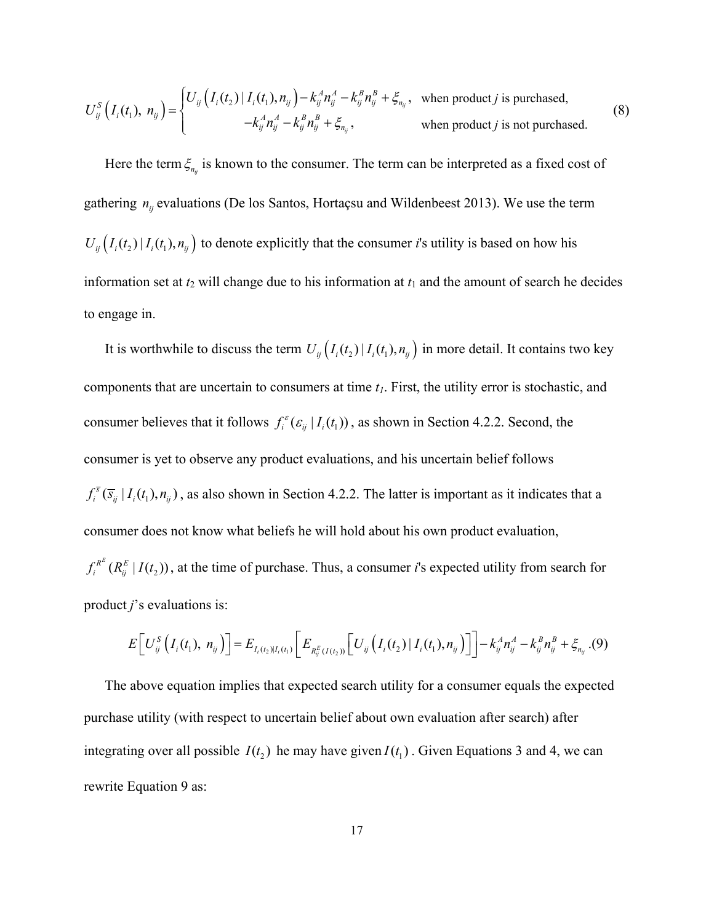$$
U_{ij}^{S}\left(I_{i}(t_{1}), n_{ij}\right) = \begin{cases} U_{ij}\left(I_{i}(t_{2})\,|\,I_{i}(t_{1}), n_{ij}\right) - k_{ij}^{A}n_{ij}^{A} - k_{ij}^{B}n_{ij}^{B} + \xi_{n_{ij}}, & \text{when product } j \text{ is purchased,} \\ -k_{ij}^{A}n_{ij}^{A} - k_{ij}^{B}n_{ij}^{B} + \xi_{n_{ij}}, & \text{when product } j \text{ is not purchased.} \end{cases} \tag{8}
$$

Here the term  $\xi_{n_i}$  is known to the consumer. The term can be interpreted as a fixed cost of gathering  $n_{ij}$  evaluations (De los Santos, Hortaçsu and Wildenbeest 2013). We use the term  $U_{ij} (I_i(t_2) | I_i(t_1), n_{ij})$  to denote explicitly that the consumer *i*'s utility is based on how his information set at  $t_2$  will change due to his information at  $t_1$  and the amount of search he decides to engage in.

It is worthwhile to discuss the term  $U_{ij} (I_i(t_1), I_i(t_1), n_{ij})$  in more detail. It contains two key components that are uncertain to consumers at time  $t_1$ . First, the utility error is stochastic, and consumer believes that it follows  $f_i^{\epsilon}(\epsilon_{ij} | I_i(t_1))$ , as shown in Section 4.2.2. Second, the consumer is yet to observe any product evaluations, and his uncertain belief follows  $f_i^{\bar{s}}(\bar{s}_{ij} | I_i(t_1), n_{ij})$ , as also shown in Section 4.2.2. The latter is important as it indicates that a consumer does not know what beliefs he will hold about his own product evaluation,  $f_i^{R^E}(R_j^E | I(t_2))$ , at the time of purchase. Thus, a consumer *i*'s expected utility from search for product *j*'s evaluations is:

$$
E\bigg[U_{ij}^{S}\big(I_i(t_1), n_{ij}\big)\bigg] = E_{I_i(t_2)|I_i(t_1)}\bigg[E_{R_{ij}^{E}(I(t_2))}\bigg[U_{ij}\big(I_i(t_2)|I_i(t_1), n_{ij}\big)\bigg]\bigg] - k_{ij}^{A}n_{ij}^{A} - k_{ij}^{B}n_{ij}^{B} + \xi_{n_{ij}}. (9)
$$

 The above equation implies that expected search utility for a consumer equals the expected purchase utility (with respect to uncertain belief about own evaluation after search) after integrating over all possible  $I(t_1)$  he may have given  $I(t_1)$ . Given Equations 3 and 4, we can rewrite Equation 9 as: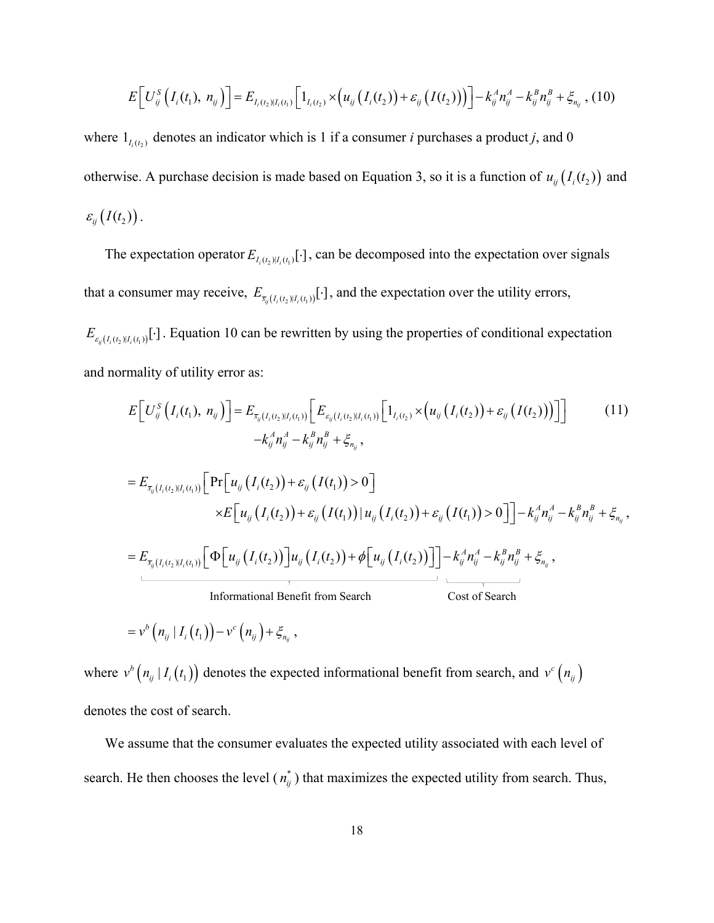$$
E\bigg[U_{ij}^{S}\big(I_i(t_1),\,n_{ij}\big)\bigg] = E_{I_i(t_2)|I_i(t_1)}\bigg[1_{I_i(t_2)} \times \big(u_{ij}\big(I_i(t_2)\big) + \varepsilon_{ij}\big(I(t_2)\big)\big)\bigg] - k_{ij}^A n_{ij}^A - k_{ij}^B n_{ij}^B + \xi_{n_{ij}}\,,\,(10)
$$

where  $1_{I_i(t_1)}$  denotes an indicator which is 1 if a consumer *i* purchases a product *j*, and 0 otherwise. A purchase decision is made based on Equation 3, so it is a function of  $u_{ij}(I_i(t_2))$  and  $\varepsilon_{ii} (I(t_2))$ .

The expectation operator  $E_{I_i(t_1)[t_i]}$  *i*], can be decomposed into the expectation over signals that a consumer may receive,  $E_{\bar{s}_{ij}(I_i(t_2)|I_i(t_1))}[\cdot]$ , and the expectation over the utility errors,

 $E_{\varepsilon_{ij}(I_i(t_2)|I_i(t_1))}[\cdot]$ . Equation 10 can be rewritten by using the properties of conditional expectation and normality of utility error as:

$$
E\left[U_{ij}^{S}\left(I_{i}(t_{1}), n_{ij}\right)\right] = E_{\bar{s}_{ij}(I_{i}(t_{2})|I_{i}(t_{1}))}\left[E_{\varepsilon_{ij}(I_{i}(t_{2})|I_{i}(t_{1}))}\left[1_{I_{i}(t_{2})}\times\left(u_{ij}\left(I_{i}(t_{2})\right)+\varepsilon_{ij}\left(I(t_{2})\right)\right)\right]\right]
$$
(11)  
\n
$$
-k_{ij}^{A}n_{ij}^{A} - k_{ij}^{B}n_{ij}^{B} + \xi_{n_{ij}},
$$
  
\n
$$
= E_{\bar{s}_{ij}(I_{i}(t_{2})|I_{i}(t_{1}))}\left[\Pr\left[u_{ij}\left(I_{i}(t_{2})\right)+\varepsilon_{ij}\left(I(t_{1})\right)>0\right]\right]
$$
  
\n
$$
\times E\left[u_{ij}\left(I_{i}(t_{2})\right)+\varepsilon_{ij}\left(I(t_{1})\right)|u_{ij}\left(I_{i}(t_{2})\right)+\varepsilon_{ij}\left(I(t_{1})\right)>0\right]\right]-k_{ij}^{A}n_{ij}^{A}-k_{ij}^{B}n_{ij}^{B}+\xi_{n_{ij}},
$$
  
\n
$$
= E_{\bar{s}_{ij}(I_{i}(t_{2})|I_{i}(t_{1}))}\left[\Phi\left[u_{ij}\left(I_{i}(t_{2})\right)\right]u_{ij}\left(I_{i}(t_{2})\right)+\phi\left[u_{ij}\left(I_{i}(t_{2})\right)\right]\right]-k_{ij}^{A}n_{ij}^{A}-k_{ij}^{B}n_{ij}^{B}+\xi_{n_{ij}},
$$
  
\n
$$
\text{Informational Benéfit from Search}
$$
  
\n
$$
= v^{b}\left(n_{ij}\left|I_{i}\left(t_{1}\right)\right)-v^{c}\left(n_{ij}\right)+\xi_{n_{ij}},
$$

where  $v^b(n_{ij} | I_i(t_1))$  denotes the expected informational benefit from search, and  $v^c(n_{ij})$ denotes the cost of search.

 We assume that the consumer evaluates the expected utility associated with each level of search. He then chooses the level  $(n_{ij}^*)$  that maximizes the expected utility from search. Thus,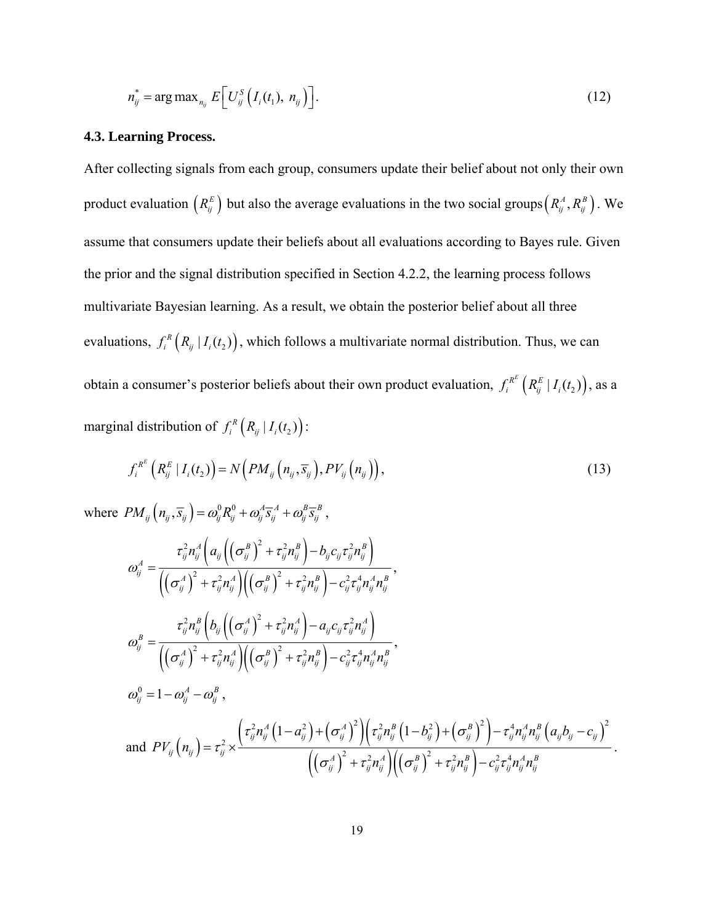$$
n_{ij}^* = \arg \max_{n_{ij}} E\bigg[U_{ij}^S\big(I_i(t_1),\ n_{ij}\big)\bigg].\tag{12}
$$

#### **4.3. Learning Process.**

After collecting signals from each group, consumers update their belief about not only their own product evaluation  $(R_{ij}^E)$  but also the average evaluations in the two social groups  $(R_{ij}^A, R_{ij}^B)$ . We assume that consumers update their beliefs about all evaluations according to Bayes rule. Given the prior and the signal distribution specified in Section 4.2.2, the learning process follows multivariate Bayesian learning. As a result, we obtain the posterior belief about all three evaluations,  $f_i^R(R_{ij} | I_i(t_2))$ , which follows a multivariate normal distribution. Thus, we can obtain a consumer's posterior beliefs about their own product evaluation,  $f_i^{R^E} (R^E_{ij} | I_i(t_2))$ , as a marginal distribution of  $f_i^R (R_{ij} | I_i(t_2))$ :

$$
f_i^{R^E}\left(R_{ij}^E|I_i(t_2)\right) = N\left(PM_{ij}\left(n_{ij},\overline{s}_{ij}\right), PV_{ij}\left(n_{ij}\right)\right),\tag{13}
$$

where  $PM_{ij}\left(n_{ij}, \overline{s}_{ij}\right) = \omega_{ij}^0 R_{ij}^0 + \omega_{ij}^A \overline{s}_{ij}^A + \omega_{ij}^B \overline{s}_{ij}^B$ ,

$$
\sigma_{ij}^{A} = \frac{\tau_{ij}^{2}n_{ij}^{A}\left(a_{ij}\left(\left(\sigma_{ij}^{B}\right)^{2} + \tau_{ij}^{2}n_{ij}^{B}\right) - b_{ij}c_{ij}\tau_{ij}^{2}n_{ij}^{B}\right)}{\left(\left(\sigma_{ij}^{A}\right)^{2} + \tau_{ij}^{2}n_{ij}^{A}\right)\left(\left(\sigma_{ij}^{B}\right)^{2} + \tau_{ij}^{2}n_{ij}^{B}\right) - c_{ij}^{2}\tau_{ij}^{4}n_{ij}^{A}n_{ij}^{B}},
$$
\n
$$
\sigma_{ij}^{B} = \frac{\tau_{ij}^{2}n_{ij}^{B}\left(b_{ij}\left(\left(\sigma_{ij}^{A}\right)^{2} + \tau_{ij}^{2}n_{ij}^{A}\right) - a_{ij}c_{ij}\tau_{ij}^{2}n_{ij}^{A}\right)}{\left(\left(\sigma_{ij}^{A}\right)^{2} + \tau_{ij}^{2}n_{ij}^{A}\right)\left(\left(\sigma_{ij}^{B}\right)^{2} + \tau_{ij}^{2}n_{ij}^{B}\right) - c_{ij}^{2}\tau_{ij}^{4}n_{ij}^{A}n_{ij}^{B}},
$$
\n
$$
\omega_{ij}^{0} = 1 - \omega_{ij}^{A} - \omega_{ij}^{B},
$$
\nand  $PV_{ij}\left(n_{ij}\right) = \tau_{ij}^{2} \times \frac{\left(\tau_{ij}^{2}n_{ij}^{A}\left(1 - \sigma_{ij}^{2}\right) + \left(\sigma_{ij}^{A}\right)^{2}\right)\left(\tau_{ij}^{2}n_{ij}^{B}\left(1 - b_{ij}^{2}\right) + \left(\sigma_{ij}^{B}\right)^{2}\right) - \tau_{ij}^{4}n_{ij}^{A}n_{ij}^{B}\left(a_{ij}b_{ij} - c_{ij}\right)^{2}}{\left(\left(\sigma_{ij}^{A}\right)^{2} + \tau_{ij}^{2}n_{ij}^{A}\right)\left(\left(\sigma_{ij}^{B}\right)^{2} + \tau_{ij}^{2}n_{ij}^{B}\right) - c_{ij}^{2}\tau_{ij}^{4}n_{ij}^{A}n_{ij}^{B}}.$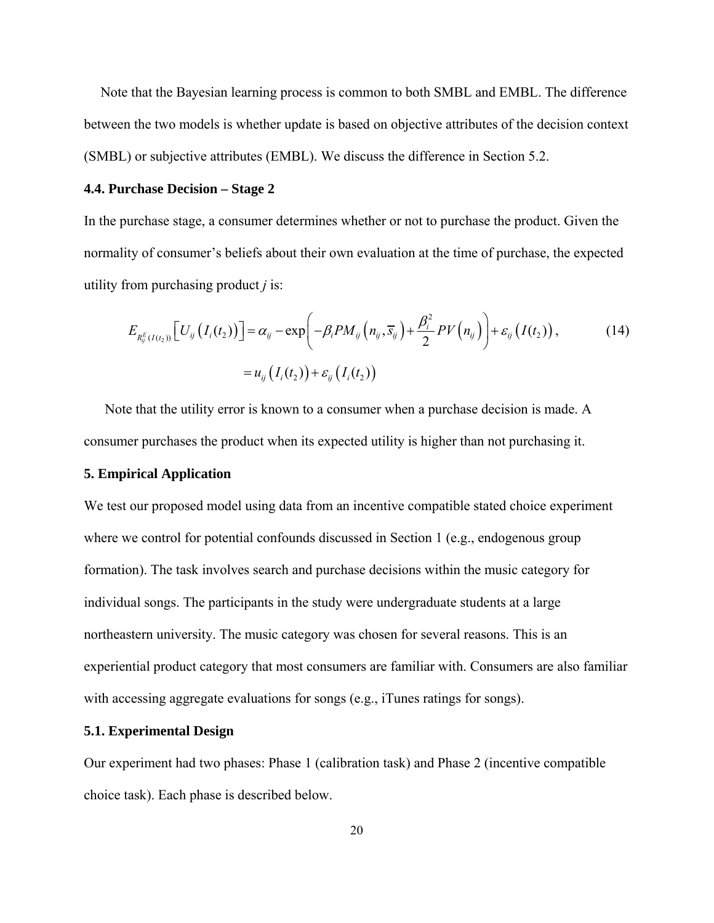Note that the Bayesian learning process is common to both SMBL and EMBL. The difference between the two models is whether update is based on objective attributes of the decision context (SMBL) or subjective attributes (EMBL). We discuss the difference in Section 5.2.

#### **4.4. Purchase Decision – Stage 2**

In the purchase stage, a consumer determines whether or not to purchase the product. Given the normality of consumer's beliefs about their own evaluation at the time of purchase, the expected utility from purchasing product *j* is:

$$
E_{R_{ij}^{E}(I(t_2))}\left[U_{ij}\left(I_i(t_2)\right)\right] = \alpha_{ij} - \exp\left(-\beta_i PM_{ij}\left(n_{ij}, \overline{s}_{ij}\right) + \frac{\beta_i^2}{2}PV\left(n_{ij}\right)\right) + \varepsilon_{ij}\left(I(t_2)\right),\tag{14}
$$
\n
$$
= u_{ij}\left(I_i(t_2)\right) + \varepsilon_{ij}\left(I_i(t_2)\right)
$$

 Note that the utility error is known to a consumer when a purchase decision is made. A consumer purchases the product when its expected utility is higher than not purchasing it.

# **5. Empirical Application**

We test our proposed model using data from an incentive compatible stated choice experiment where we control for potential confounds discussed in Section 1 (e.g., endogenous group formation). The task involves search and purchase decisions within the music category for individual songs. The participants in the study were undergraduate students at a large northeastern university. The music category was chosen for several reasons. This is an experiential product category that most consumers are familiar with. Consumers are also familiar with accessing aggregate evaluations for songs (e.g., iTunes ratings for songs).

# **5.1. Experimental Design**

Our experiment had two phases: Phase 1 (calibration task) and Phase 2 (incentive compatible choice task). Each phase is described below.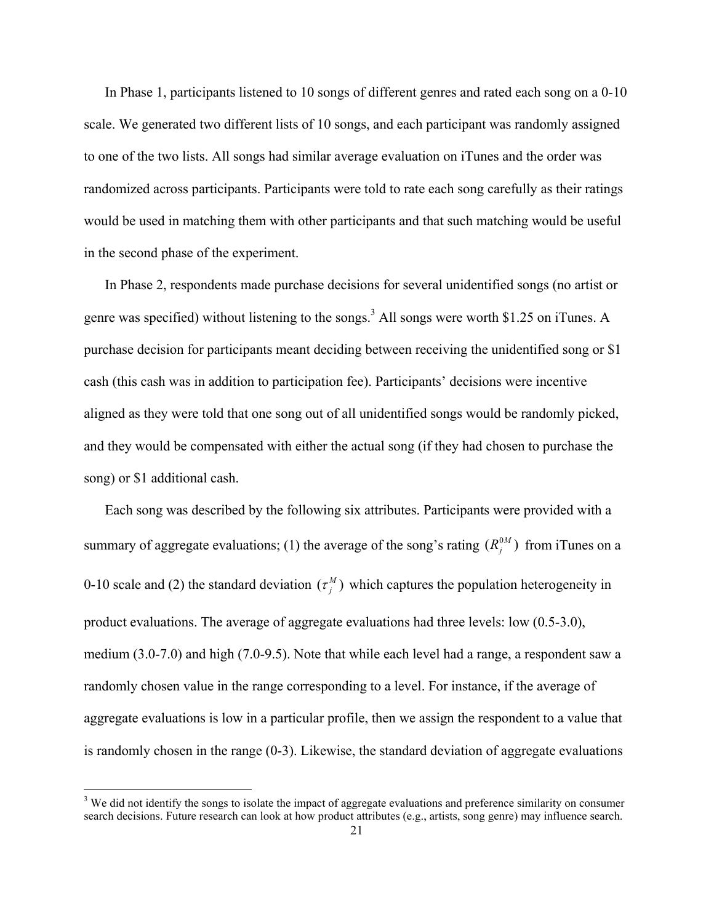In Phase 1, participants listened to 10 songs of different genres and rated each song on a 0-10 scale. We generated two different lists of 10 songs, and each participant was randomly assigned to one of the two lists. All songs had similar average evaluation on iTunes and the order was randomized across participants. Participants were told to rate each song carefully as their ratings would be used in matching them with other participants and that such matching would be useful in the second phase of the experiment.

 In Phase 2, respondents made purchase decisions for several unidentified songs (no artist or genre was specified) without listening to the songs.<sup>3</sup> All songs were worth \$1.25 on iTunes. A purchase decision for participants meant deciding between receiving the unidentified song or \$1 cash (this cash was in addition to participation fee). Participants' decisions were incentive aligned as they were told that one song out of all unidentified songs would be randomly picked, and they would be compensated with either the actual song (if they had chosen to purchase the song) or \$1 additional cash.

 Each song was described by the following six attributes. Participants were provided with a summary of aggregate evaluations; (1) the average of the song's rating  $(R_i^{0M})$  from iTunes on a 0-10 scale and (2) the standard deviation  $(\tau_j^M)$  which captures the population heterogeneity in product evaluations. The average of aggregate evaluations had three levels: low (0.5-3.0), medium (3.0-7.0) and high (7.0-9.5). Note that while each level had a range, a respondent saw a randomly chosen value in the range corresponding to a level. For instance, if the average of aggregate evaluations is low in a particular profile, then we assign the respondent to a value that is randomly chosen in the range (0-3). Likewise, the standard deviation of aggregate evaluations

<sup>&</sup>lt;sup>3</sup> We did not identify the songs to isolate the impact of aggregate evaluations and preference similarity on consumer search decisions. Future research can look at how product attributes (e.g., artists, song genre) may influence search.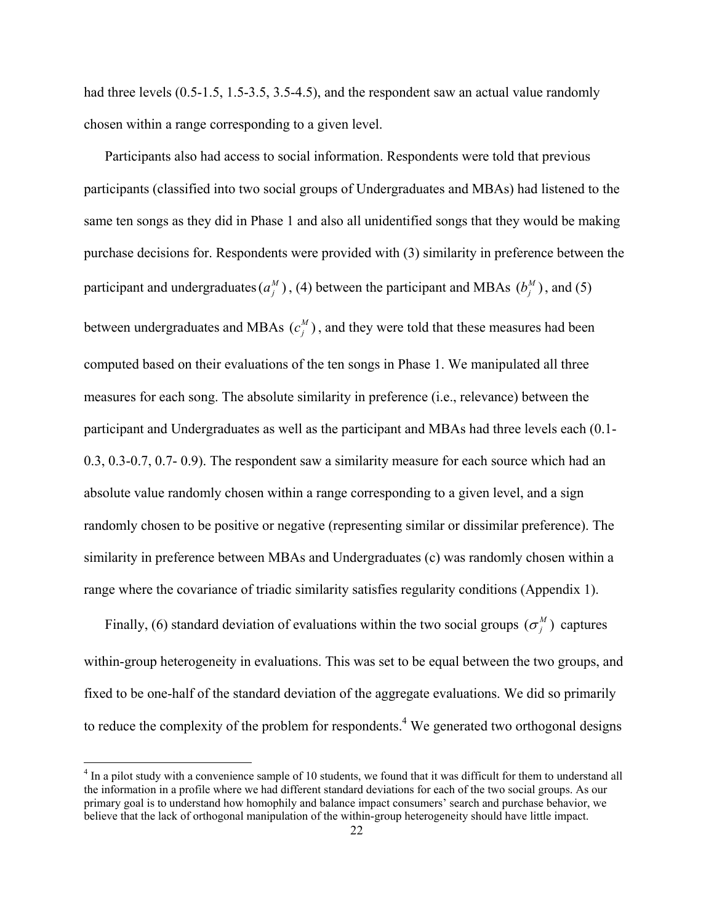had three levels (0.5-1.5, 1.5-3.5, 3.5-4.5), and the respondent saw an actual value randomly chosen within a range corresponding to a given level.

 Participants also had access to social information. Respondents were told that previous participants (classified into two social groups of Undergraduates and MBAs) had listened to the same ten songs as they did in Phase 1 and also all unidentified songs that they would be making purchase decisions for. Respondents were provided with (3) similarity in preference between the participant and undergraduates  $(a_j^M)$ , (4) between the participant and MBAs  $(b_j^M)$ , and (5) between undergraduates and MBAs  $(c_j^M)$ , and they were told that these measures had been computed based on their evaluations of the ten songs in Phase 1. We manipulated all three measures for each song. The absolute similarity in preference (i.e., relevance) between the participant and Undergraduates as well as the participant and MBAs had three levels each (0.1- 0.3, 0.3-0.7, 0.7- 0.9). The respondent saw a similarity measure for each source which had an absolute value randomly chosen within a range corresponding to a given level, and a sign randomly chosen to be positive or negative (representing similar or dissimilar preference). The similarity in preference between MBAs and Undergraduates (c) was randomly chosen within a range where the covariance of triadic similarity satisfies regularity conditions (Appendix 1).

Finally, (6) standard deviation of evaluations within the two social groups ( $\sigma_j^M$ ) captures within-group heterogeneity in evaluations. This was set to be equal between the two groups, and fixed to be one-half of the standard deviation of the aggregate evaluations. We did so primarily to reduce the complexity of the problem for respondents.<sup>4</sup> We generated two orthogonal designs

<sup>&</sup>lt;sup>4</sup> In a pilot study with a convenience sample of 10 students, we found that it was difficult for them to understand all the information in a profile where we had different standard deviations for each of the two social groups. As our primary goal is to understand how homophily and balance impact consumers' search and purchase behavior, we believe that the lack of orthogonal manipulation of the within-group heterogeneity should have little impact.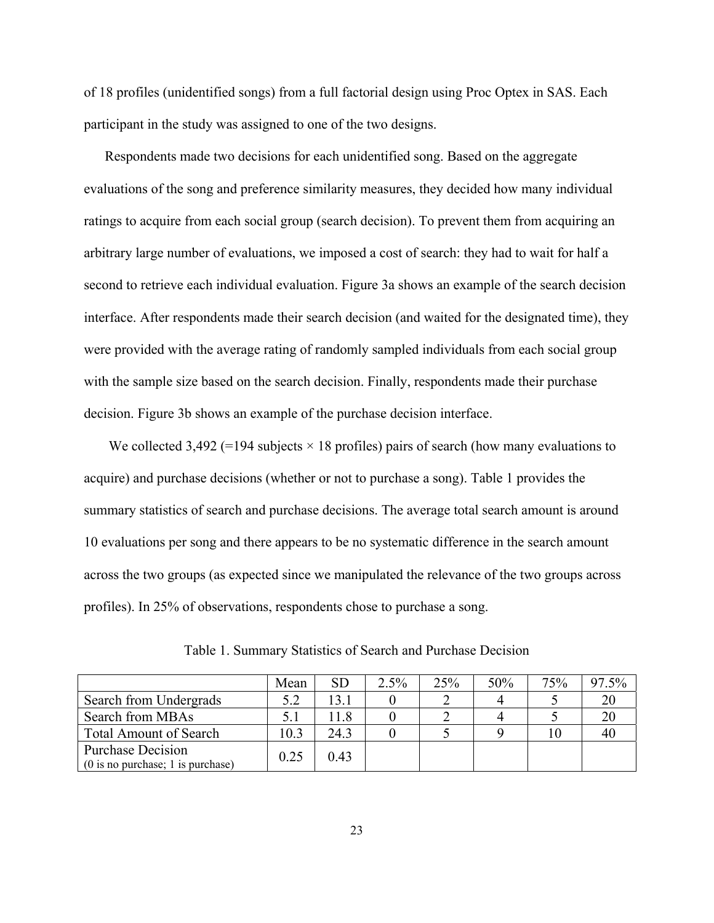of 18 profiles (unidentified songs) from a full factorial design using Proc Optex in SAS. Each participant in the study was assigned to one of the two designs.

 Respondents made two decisions for each unidentified song. Based on the aggregate evaluations of the song and preference similarity measures, they decided how many individual ratings to acquire from each social group (search decision). To prevent them from acquiring an arbitrary large number of evaluations, we imposed a cost of search: they had to wait for half a second to retrieve each individual evaluation. Figure 3a shows an example of the search decision interface. After respondents made their search decision (and waited for the designated time), they were provided with the average rating of randomly sampled individuals from each social group with the sample size based on the search decision. Finally, respondents made their purchase decision. Figure 3b shows an example of the purchase decision interface.

We collected 3,492 (=194 subjects  $\times$  18 profiles) pairs of search (how many evaluations to acquire) and purchase decisions (whether or not to purchase a song). Table 1 provides the summary statistics of search and purchase decisions. The average total search amount is around 10 evaluations per song and there appears to be no systematic difference in the search amount across the two groups (as expected since we manipulated the relevance of the two groups across profiles). In 25% of observations, respondents chose to purchase a song.

|                                                                                 | Mean | <b>SD</b> | $2.5\%$ | 25% | 50% | 75% | 97.5% |
|---------------------------------------------------------------------------------|------|-----------|---------|-----|-----|-----|-------|
| Search from Undergrads                                                          | 5.2  | 13 1      |         |     |     |     |       |
| Search from MBAs                                                                | 5.1  | 11 8      |         |     |     |     |       |
| <b>Total Amount of Search</b>                                                   | 10.3 | 24.3      |         |     |     | ТU  |       |
| <b>Purchase Decision</b><br>$(0 \text{ is no purchase}; 1 \text{ is purchase})$ | 0.25 | 0.43      |         |     |     |     |       |

Table 1. Summary Statistics of Search and Purchase Decision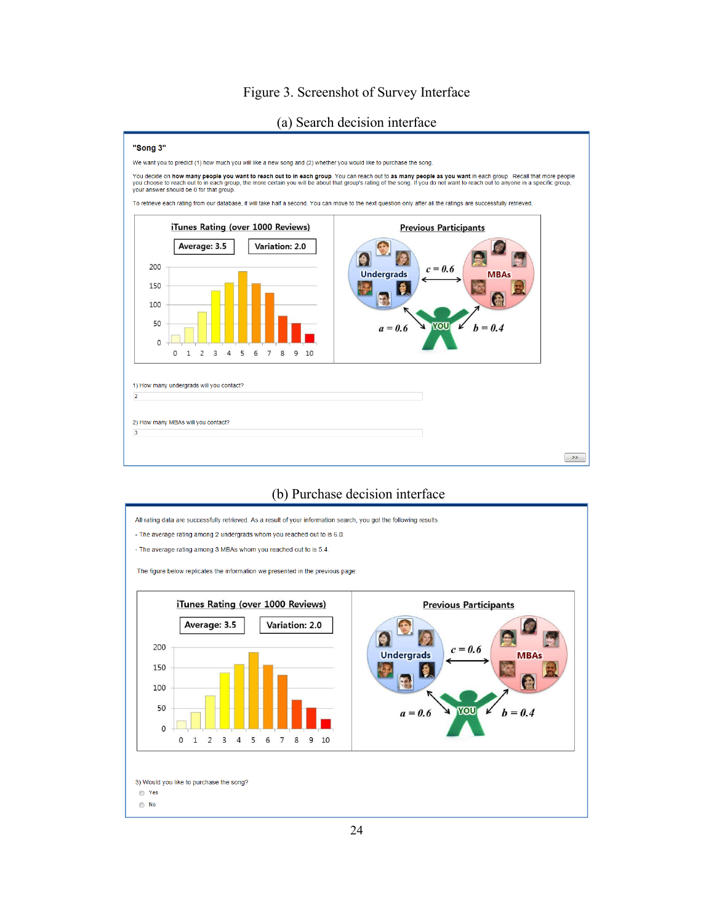# Figure 3. Screenshot of Survey Interface

(a) Search decision interface



#### (b) Purchase decision interface

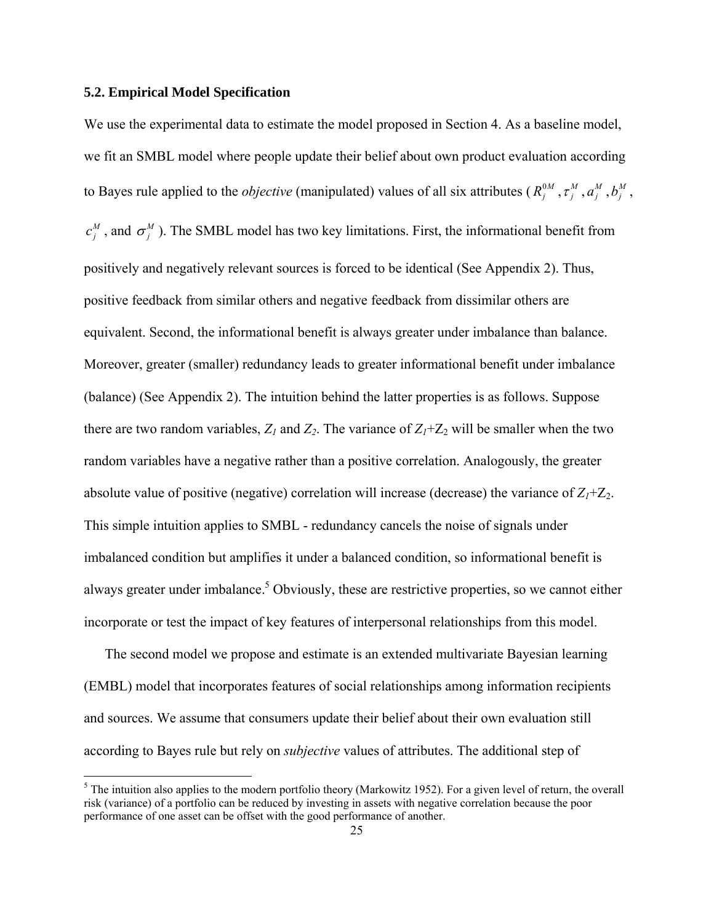# **5.2. Empirical Model Specification**

We use the experimental data to estimate the model proposed in Section 4. As a baseline model, we fit an SMBL model where people update their belief about own product evaluation according to Bayes rule applied to the *objective* (manipulated) values of all six attributes ( $R_j^0$ ,  $\tau_j^M$ ,  $a_j^M$ ,  $b_j^M$ ,  $c_j^M$ , and  $\sigma_j^M$ ). The SMBL model has two key limitations. First, the informational benefit from positively and negatively relevant sources is forced to be identical (See Appendix 2). Thus, positive feedback from similar others and negative feedback from dissimilar others are equivalent. Second, the informational benefit is always greater under imbalance than balance. Moreover, greater (smaller) redundancy leads to greater informational benefit under imbalance (balance) (See Appendix 2). The intuition behind the latter properties is as follows. Suppose there are two random variables,  $Z_l$  and  $Z_2$ . The variance of  $Z_l+Z_2$  will be smaller when the two random variables have a negative rather than a positive correlation. Analogously, the greater absolute value of positive (negative) correlation will increase (decrease) the variance of  $Z_1+Z_2$ . This simple intuition applies to SMBL - redundancy cancels the noise of signals under imbalanced condition but amplifies it under a balanced condition, so informational benefit is always greater under imbalance.<sup>5</sup> Obviously, these are restrictive properties, so we cannot either incorporate or test the impact of key features of interpersonal relationships from this model.

 The second model we propose and estimate is an extended multivariate Bayesian learning (EMBL) model that incorporates features of social relationships among information recipients and sources. We assume that consumers update their belief about their own evaluation still according to Bayes rule but rely on *subjective* values of attributes. The additional step of

 $<sup>5</sup>$  The intuition also applies to the modern portfolio theory (Markowitz 1952). For a given level of return, the overall</sup> risk (variance) of a portfolio can be reduced by investing in assets with negative correlation because the poor performance of one asset can be offset with the good performance of another.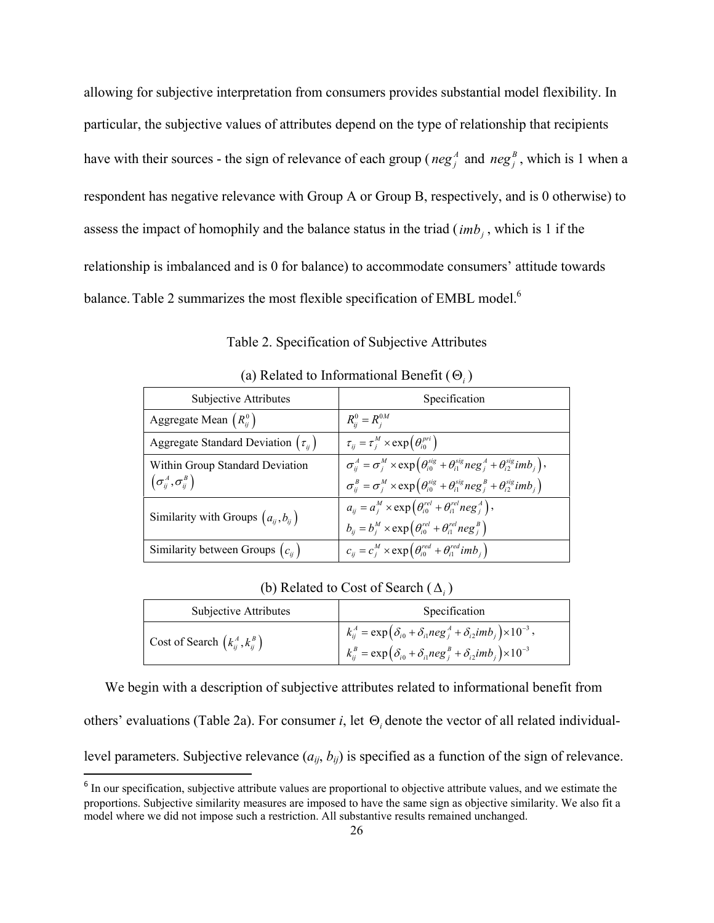allowing for subjective interpretation from consumers provides substantial model flexibility. In particular, the subjective values of attributes depend on the type of relationship that recipients have with their sources - the sign of relevance of each group ( $neg_j^A$  and  $neg_j^B$ , which is 1 when a respondent has negative relevance with Group A or Group B, respectively, and is 0 otherwise) to assess the impact of homophily and the balance status in the triad  $(imb<sub>i</sub>$ , which is 1 if the relationship is imbalanced and is 0 for balance) to accommodate consumers' attitude towards balance. Table 2 summarizes the most flexible specification of EMBL model.<sup>6</sup>

Table 2. Specification of Subjective Attributes

| Subjective Attributes                                                                                              | Specification                                                                                                                |
|--------------------------------------------------------------------------------------------------------------------|------------------------------------------------------------------------------------------------------------------------------|
| Aggregate Mean $(R_{ii}^0)$                                                                                        | $R_{ii}^0 = R_{i}^{0M}$                                                                                                      |
| Aggregate Standard Deviation $(\tau_{ii})$                                                                         | $\tau_{ii} = \tau_{i}^{M} \times \exp\left(\theta_{i0}^{pri}\right)$                                                         |
| Within Group Standard Deviation                                                                                    | $\sigma_{ii}^A = \sigma_i^M \times \exp\left(\theta_{i0}^{sig} + \theta_{i1}^{sig} neg_i^A + \theta_{i2}^{sig}imb_i\right),$ |
| $(\sigma^{\scriptscriptstyle A}_{\scriptscriptstyle i i}, \sigma^{\scriptscriptstyle B}_{\scriptscriptstyle i i})$ | $\sigma_{ij}^B = \sigma_j^M \times \exp\left(\theta_{i0}^{sig} + \theta_{i1}^{sig} neg_j^B + \theta_{i2}^{sig}imb_j\right)$  |
| Similarity with Groups $(a_{ii}, b_{ii})$                                                                          | $a_{ii} = a_i^M \times \exp\left(\theta_{i0}^{rel} + \theta_{i1}^{rel} neg_i^A\right),$                                      |
|                                                                                                                    | $b_{ii} = b_i^M \times \exp\left(\theta_{i0}^{rel} + \theta_{i1}^{rel} neg_i^B\right)$                                       |
| Similarity between Groups $(c_{ii})$                                                                               | $c_{ii} = c_i^M \times \exp\left(\theta_{i0}^{red} + \theta_{i1}^{red} \,imb_i\right)$                                       |

(a) Related to Informational Benefit  $(\Theta_i)$ 

|  |  |  | (b) Related to Cost of Search $(\Delta_i)$ |  |
|--|--|--|--------------------------------------------|--|
|--|--|--|--------------------------------------------|--|

| Subjective Attributes                 | Specification                                                                                                                                                                                          |  |  |  |  |
|---------------------------------------|--------------------------------------------------------------------------------------------------------------------------------------------------------------------------------------------------------|--|--|--|--|
| Cost of Search $(k_{ij}^A, k_{ij}^B)$ | $k_{ij}^A = \exp\left(\delta_{i0} + \delta_{i1}neg_i^A + \delta_{i2}imb_j\right) \times 10^{-3}$ ,<br>$k_{ij}^B = \exp\left(\delta_{i0} + \delta_{i1}neg_i^B + \delta_{i2}imb_i\right) \times 10^{-3}$ |  |  |  |  |

We begin with a description of subjective attributes related to informational benefit from

others' evaluations (Table 2a). For consumer *i*, let  $\Theta_i$  denote the vector of all related individual-

level parameters. Subjective relevance  $(a_{ij}, b_{ij})$  is specified as a function of the sign of relevance.

<sup>&</sup>lt;sup>6</sup> In our specification, subjective attribute values are proportional to objective attribute values, and we estimate the proportions. Subjective similarity measures are imposed to have the same sign as objective similarity. We also fit a model where we did not impose such a restriction. All substantive results remained unchanged.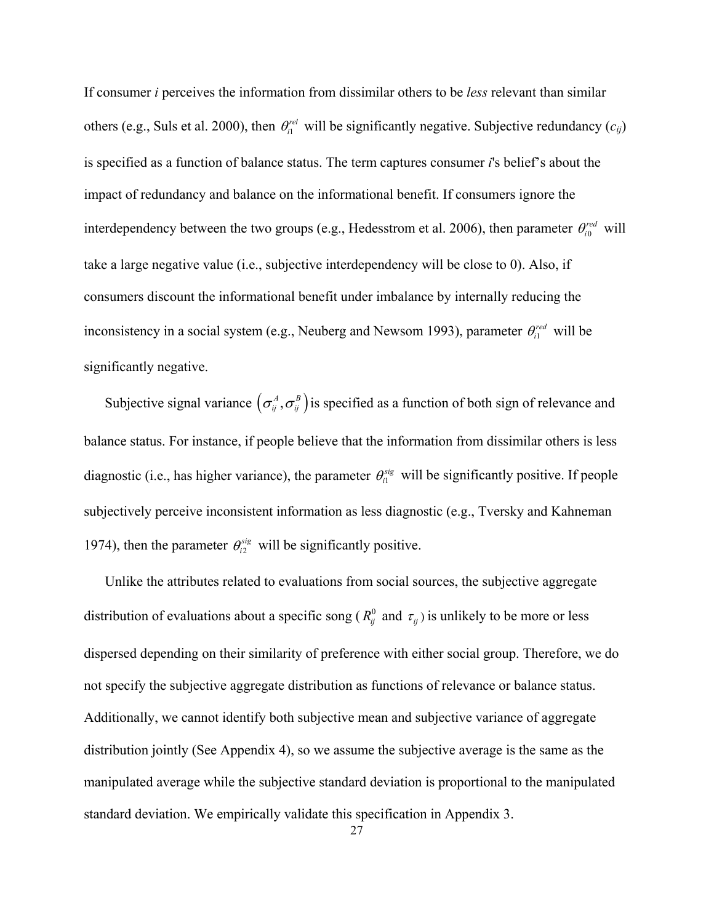If consumer *i* perceives the information from dissimilar others to be *less* relevant than similar others (e.g., Suls et al. 2000), then  $\theta_{i}^{rel}$  will be significantly negative. Subjective redundancy ( $c_{ij}$ ) is specified as a function of balance status. The term captures consumer *i*'s belief's about the impact of redundancy and balance on the informational benefit. If consumers ignore the interdependency between the two groups (e.g., Hedesstrom et al. 2006), then parameter  $\theta_{i0}^{red}$  will take a large negative value (i.e., subjective interdependency will be close to 0). Also, if consumers discount the informational benefit under imbalance by internally reducing the inconsistency in a social system (e.g., Neuberg and Newsom 1993), parameter  $\theta_i^{red}$  will be significantly negative.

Subjective signal variance  $(\sigma_{ij}^A, \sigma_{ij}^B)$  is specified as a function of both sign of relevance and balance status. For instance, if people believe that the information from dissimilar others is less diagnostic (i.e., has higher variance), the parameter  $\theta_{i}^{sig}$  will be significantly positive. If people subjectively perceive inconsistent information as less diagnostic (e.g., Tversky and Kahneman 1974), then the parameter  $\theta_{i2}^{sig}$  will be significantly positive.

 Unlike the attributes related to evaluations from social sources, the subjective aggregate distribution of evaluations about a specific song ( $R_{ij}^0$  and  $\tau_{ij}$ ) is unlikely to be more or less dispersed depending on their similarity of preference with either social group. Therefore, we do not specify the subjective aggregate distribution as functions of relevance or balance status. Additionally, we cannot identify both subjective mean and subjective variance of aggregate distribution jointly (See Appendix 4), so we assume the subjective average is the same as the manipulated average while the subjective standard deviation is proportional to the manipulated standard deviation. We empirically validate this specification in Appendix 3.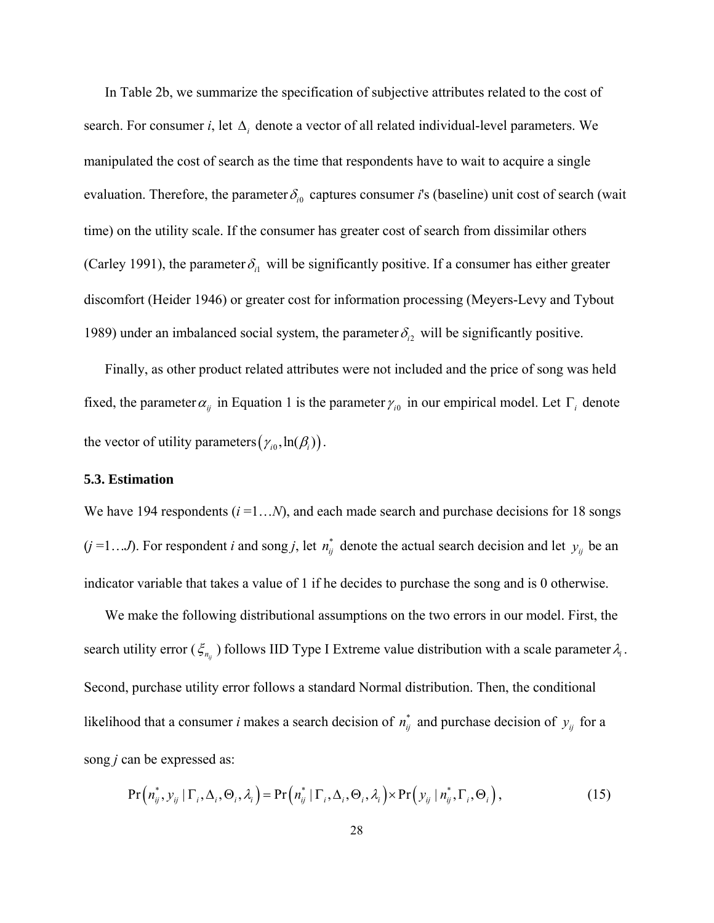In Table 2b, we summarize the specification of subjective attributes related to the cost of search. For consumer *i*, let  $\Delta_i$  denote a vector of all related individual-level parameters. We manipulated the cost of search as the time that respondents have to wait to acquire a single evaluation. Therefore, the parameter  $\delta_{i0}$  captures consumer *i*'s (baseline) unit cost of search (wait time) on the utility scale. If the consumer has greater cost of search from dissimilar others (Carley 1991), the parameter  $\delta_{i1}$  will be significantly positive. If a consumer has either greater discomfort (Heider 1946) or greater cost for information processing (Meyers-Levy and Tybout 1989) under an imbalanced social system, the parameter  $\delta_{i2}$  will be significantly positive.

 Finally, as other product related attributes were not included and the price of song was held fixed, the parameter  $\alpha_{ij}$  in Equation 1 is the parameter  $\gamma_{i0}$  in our empirical model. Let  $\Gamma_i$  denote the vector of utility parameters  $(\gamma_{i0}, \ln(\beta_i))$ .

#### **5.3. Estimation**

We have 194 respondents  $(i=1...N)$ , and each made search and purchase decisions for 18 songs  $(j = 1...J)$ . For respondent *i* and song *j*, let  $n_{ij}^*$  denote the actual search decision and let  $y_{ij}$  be an indicator variable that takes a value of 1 if he decides to purchase the song and is 0 otherwise.

 We make the following distributional assumptions on the two errors in our model. First, the search utility error ( $\zeta_{n_{ij}}$ ) follows IID Type I Extreme value distribution with a scale parameter  $\lambda_i$ . Second, purchase utility error follows a standard Normal distribution. Then, the conditional likelihood that a consumer *i* makes a search decision of  $n_{ij}^*$  and purchase decision of  $y_{ij}$  for a song *j* can be expressed as:

$$
\Pr\left(n_{ij}^*, y_{ij} \mid \Gamma_i, \Delta_i, \Theta_i, \lambda_i\right) = \Pr\left(n_{ij}^* \mid \Gamma_i, \Delta_i, \Theta_i, \lambda_i\right) \times \Pr\left(y_{ij} \mid n_{ij}^*, \Gamma_i, \Theta_i\right),\tag{15}
$$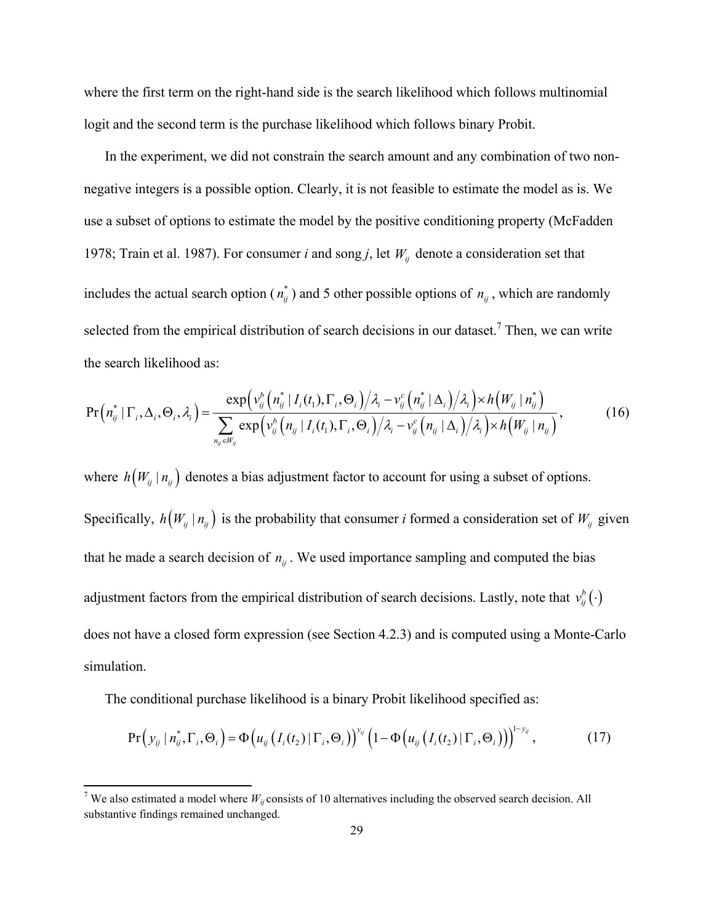where the first term on the right-hand side is the search likelihood which follows multinomial logit and the second term is the purchase likelihood which follows binary Probit.

 In the experiment, we did not constrain the search amount and any combination of two nonnegative integers is a possible option. Clearly, it is not feasible to estimate the model as is. We use a subset of options to estimate the model by the positive conditioning property (McFadden 1978; Train et al. 1987). For consumer *i* and song *j*, let  $W_{ii}$  denote a consideration set that includes the actual search option ( $n_{ij}^*$ ) and 5 other possible options of  $n_{ij}$ , which are randomly selected from the empirical distribution of search decisions in our dataset.<sup>7</sup> Then, we can write the search likelihood as:

$$
Pr\left(n_{ij}^{*} | \Gamma_{i}, \Delta_{i}, \Theta_{i}, \lambda_{i}\right) = \frac{\exp\left(\nu_{ij}^{b}\left(n_{ij}^{*} | I_{i}(t_{1}), \Gamma_{i}, \Theta_{i}\right) \middle/ \lambda_{i} - \nu_{ij}^{c}\left(n_{ij}^{*} | \Delta_{i}\right) \middle/ \lambda_{i}\right) \times h\left(W_{ij} | n_{ij}^{*}\right)}{\sum_{n_{ij} \in W_{ij}} \exp\left(\nu_{ij}^{b}\left(n_{ij} | I_{i}(t_{1}), \Gamma_{i}, \Theta_{i}\right) \middle/ \lambda_{i} - \nu_{ij}^{c}\left(n_{ij} | \Delta_{i}\right) \middle/ \lambda_{i}\right) \times h\left(W_{ij} | n_{ij}\right)},
$$
\n(16)

where  $h(W_{ij} | n_{ij})$  denotes a bias adjustment factor to account for using a subset of options. Specifically,  $h(W_{ij} | n_{ij})$  is the probability that consumer *i* formed a consideration set of  $W_{ij}$  given that he made a search decision of  $n_{ij}$ . We used importance sampling and computed the bias adjustment factors from the empirical distribution of search decisions. Lastly, note that  $v_{ij}^b(\cdot)$ does not have a closed form expression (see Section 4.2.3) and is computed using a Monte-Carlo simulation.

The conditional purchase likelihood is a binary Probit likelihood specified as:

$$
\Pr\left(y_{ij} \mid n_{ij}^*, \Gamma_i, \Theta_i\right) = \Phi\left(u_{ij}\left(I_i(t_2) \mid \Gamma_i, \Theta_i\right)\right)^{y_{ij}}\left(1 - \Phi\left(u_{ij}\left(I_i(t_2) \mid \Gamma_i, \Theta_i\right)\right)\right)^{1 - y_{ij}},\tag{17}
$$

<sup>&</sup>lt;sup>7</sup> We also estimated a model where  $W_{ij}$  consists of 10 alternatives including the observed search decision. All substantive findings remained unchanged.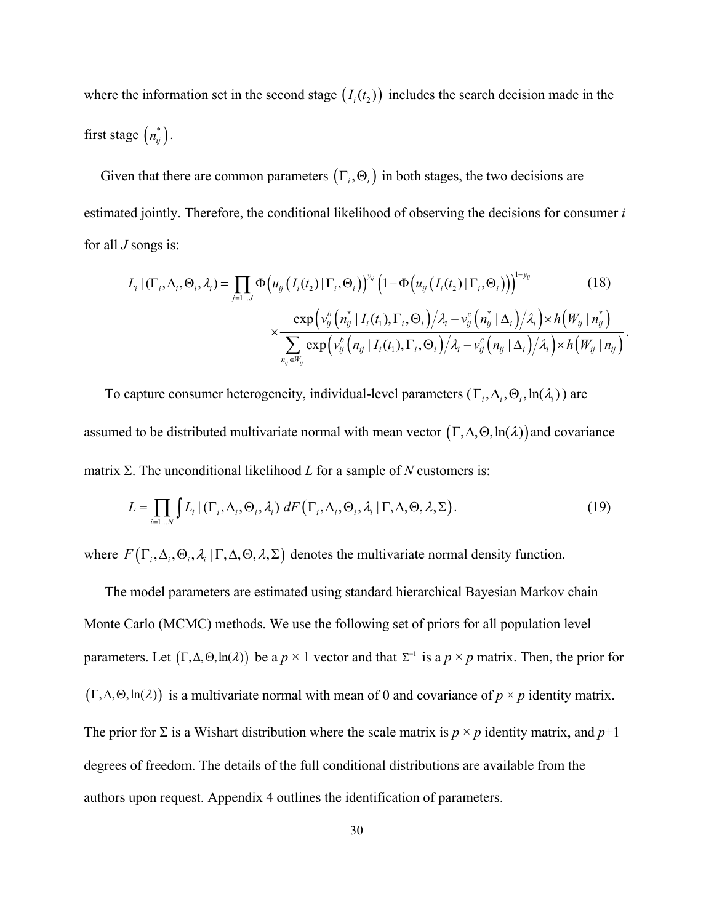where the information set in the second stage  $(I_i(t_2))$  includes the search decision made in the first stage  $\left(n_{ij}^*\right)$ .

Given that there are common parameters  $(\Gamma_i, \Theta_i)$  in both stages, the two decisions are estimated jointly. Therefore, the conditional likelihood of observing the decisions for consumer *i* for all *J* songs is:

$$
L_{i} | (\Gamma_{i}, \Delta_{i}, \Theta_{i}, \lambda_{i}) = \prod_{j=1...J} \Phi\big(u_{ij} \big(I_{i}(t_{2}) | \Gamma_{i}, \Theta_{i}\big)\big)^{y_{ij}} \big(1 - \Phi\big(u_{ij} \big(I_{i}(t_{2}) | \Gamma_{i}, \Theta_{i}\big)\big)\big)^{1-y_{ij}} \qquad (18)
$$

$$
\times \frac{\exp\big(v_{ij}^{b} \big(n_{ij}^{*} | I_{i}(t_{1}), \Gamma_{i}, \Theta_{i}\big) \big/\lambda_{i} - v_{ij}^{c} \big(n_{ij}^{*} | \Delta_{i}\big)/\lambda_{i}\big) \times h\big(W_{ij} | n_{ij}^{*}\big)}{\sum_{n_{ij} \in W_{ij}} \exp\big(v_{ij}^{b} \big(n_{ij} | I_{i}(t_{1}), \Gamma_{i}, \Theta_{i}\big)/\lambda_{i} - v_{ij}^{c} \big(n_{ij} | \Delta_{i}\big)/\lambda_{i}\big) \times h\big(W_{ij} | n_{ij}\big)}.
$$

To capture consumer heterogeneity, individual-level parameters  $(\Gamma_i, \Delta_i, \Theta_i, \ln(\lambda_i))$  are assumed to be distributed multivariate normal with mean vector  $(\Gamma, \Delta, \Theta, \ln(\lambda))$  and covariance matrix  $\Sigma$ . The unconditional likelihood  $L$  for a sample of  $N$  customers is:

$$
L = \prod_{i=1...N} \int L_i \left( \left( \Gamma_i, \Delta_i, \Theta_i, \lambda_i \right) dF \left( \Gamma_i, \Delta_i, \Theta_i, \lambda_i \left| \Gamma, \Delta, \Theta, \lambda, \Sigma \right. \right) \right).
$$
 (19)

where  $F(\Gamma_i, \Delta_i, \Theta_i, \lambda_i | \Gamma, \Delta, \Theta, \lambda, \Sigma)$  denotes the multivariate normal density function.

 The model parameters are estimated using standard hierarchical Bayesian Markov chain Monte Carlo (MCMC) methods. We use the following set of priors for all population level parameters. Let  $(\Gamma, \Delta, \Theta, \ln(\lambda))$  be a  $p \times 1$  vector and that  $\Sigma^{-1}$  is a  $p \times p$  matrix. Then, the prior for  $(\Gamma, \Delta, \Theta, \ln(\lambda))$  is a multivariate normal with mean of 0 and covariance of  $p \times p$  identity matrix. The prior for  $\Sigma$  is a Wishart distribution where the scale matrix is  $p \times p$  identity matrix, and  $p+1$ degrees of freedom. The details of the full conditional distributions are available from the authors upon request. Appendix 4 outlines the identification of parameters.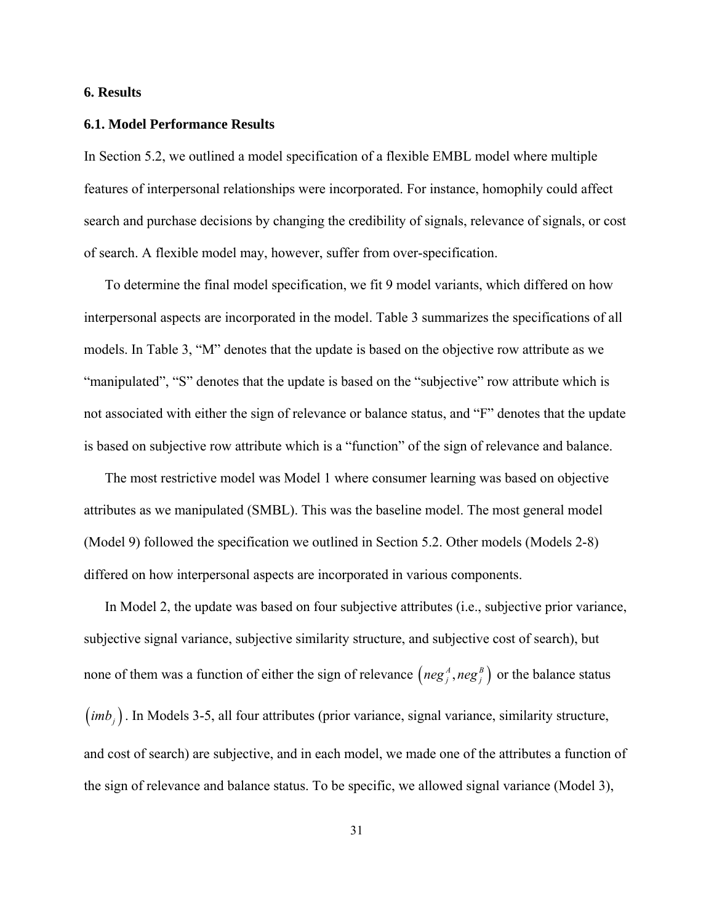# **6. Results**

#### **6.1. Model Performance Results**

In Section 5.2, we outlined a model specification of a flexible EMBL model where multiple features of interpersonal relationships were incorporated. For instance, homophily could affect search and purchase decisions by changing the credibility of signals, relevance of signals, or cost of search. A flexible model may, however, suffer from over-specification.

 To determine the final model specification, we fit 9 model variants, which differed on how interpersonal aspects are incorporated in the model. Table 3 summarizes the specifications of all models. In Table 3, "M" denotes that the update is based on the objective row attribute as we "manipulated", "S" denotes that the update is based on the "subjective" row attribute which is not associated with either the sign of relevance or balance status, and "F" denotes that the update is based on subjective row attribute which is a "function" of the sign of relevance and balance.

 The most restrictive model was Model 1 where consumer learning was based on objective attributes as we manipulated (SMBL). This was the baseline model. The most general model (Model 9) followed the specification we outlined in Section 5.2. Other models (Models 2-8) differed on how interpersonal aspects are incorporated in various components.

 In Model 2, the update was based on four subjective attributes (i.e., subjective prior variance, subjective signal variance, subjective similarity structure, and subjective cost of search), but none of them was a function of either the sign of relevance  $\left( neg_j^A, neg_j^B \right)$  or the balance status (*imb<sub>i</sub>*). In Models 3-5, all four attributes (prior variance, signal variance, similarity structure, and cost of search) are subjective, and in each model, we made one of the attributes a function of the sign of relevance and balance status. To be specific, we allowed signal variance (Model 3),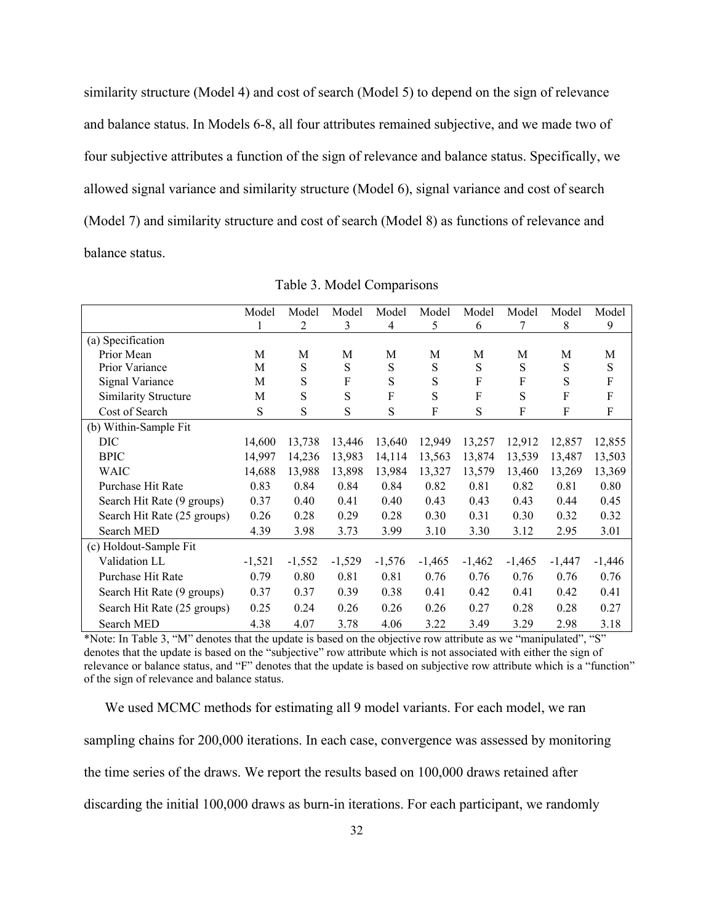similarity structure (Model 4) and cost of search (Model 5) to depend on the sign of relevance and balance status. In Models 6-8, all four attributes remained subjective, and we made two of four subjective attributes a function of the sign of relevance and balance status. Specifically, we allowed signal variance and similarity structure (Model 6), signal variance and cost of search (Model 7) and similarity structure and cost of search (Model 8) as functions of relevance and balance status.

|                             | Model    | Model    | Model    | Model    | Model    | Model     | Model     | Model     | Model     |
|-----------------------------|----------|----------|----------|----------|----------|-----------|-----------|-----------|-----------|
|                             | 1        | 2        | 3        | 4        | 5        | 6         |           | 8         | 9         |
| (a) Specification           |          |          |          |          |          |           |           |           |           |
| Prior Mean                  | M        | M        | M        | М        | М        | M         | M         | M         | M         |
| Prior Variance              | М        | S        | S        | S        | S        | S         | ${\bf S}$ | ${\bf S}$ | ${\bf S}$ |
| Signal Variance             | M        | S        | F        | S        | S        | F         | F         | S         | F         |
| <b>Similarity Structure</b> | M        | S        | S        | F        | S        | F         | S         | F         | F         |
| Cost of Search              | S        | S        | S        | S        | F        | ${\bf S}$ | F         | F         | F         |
| (b) Within-Sample Fit       |          |          |          |          |          |           |           |           |           |
| DIC                         | 14,600   | 13,738   | 13,446   | 13,640   | 12,949   | 13,257    | 12,912    | 12,857    | 12,855    |
| <b>BPIC</b>                 | 14,997   | 14,236   | 13,983   | 14,114   | 13,563   | 13,874    | 13,539    | 13,487    | 13,503    |
| <b>WAIC</b>                 | 14,688   | 13,988   | 13,898   | 13,984   | 13,327   | 13,579    | 13,460    | 13,269    | 13,369    |
| Purchase Hit Rate           | 0.83     | 0.84     | 0.84     | 0.84     | 0.82     | 0.81      | 0.82      | 0.81      | 0.80      |
| Search Hit Rate (9 groups)  | 0.37     | 0.40     | 0.41     | 0.40     | 0.43     | 0.43      | 0.43      | 0.44      | 0.45      |
| Search Hit Rate (25 groups) | 0.26     | 0.28     | 0.29     | 0.28     | 0.30     | 0.31      | 0.30      | 0.32      | 0.32      |
| Search MED                  | 4.39     | 3.98     | 3.73     | 3.99     | 3.10     | 3.30      | 3.12      | 2.95      | 3.01      |
| (c) Holdout-Sample Fit      |          |          |          |          |          |           |           |           |           |
| Validation LL               | $-1,521$ | $-1,552$ | $-1,529$ | $-1,576$ | $-1,465$ | $-1,462$  | $-1,465$  | $-1,447$  | $-1,446$  |
| Purchase Hit Rate           | 0.79     | 0.80     | 0.81     | 0.81     | 0.76     | 0.76      | 0.76      | 0.76      | 0.76      |
| Search Hit Rate (9 groups)  | 0.37     | 0.37     | 0.39     | 0.38     | 0.41     | 0.42      | 0.41      | 0.42      | 0.41      |
| Search Hit Rate (25 groups) | 0.25     | 0.24     | 0.26     | 0.26     | 0.26     | 0.27      | 0.28      | 0.28      | 0.27      |
| Search MED                  | 4.38     | 4.07     | 3.78     | 4.06     | 3.22     | 3.49      | 3.29      | 2.98      | 3.18      |

Table 3. Model Comparisons

\*Note: In Table 3, "M" denotes that the update is based on the objective row attribute as we "manipulated", "S" denotes that the update is based on the "subjective" row attribute which is not associated with either the sign of relevance or balance status, and "F" denotes that the update is based on subjective row attribute which is a "function" of the sign of relevance and balance status.

 We used MCMC methods for estimating all 9 model variants. For each model, we ran sampling chains for 200,000 iterations. In each case, convergence was assessed by monitoring the time series of the draws. We report the results based on 100,000 draws retained after discarding the initial 100,000 draws as burn-in iterations. For each participant, we randomly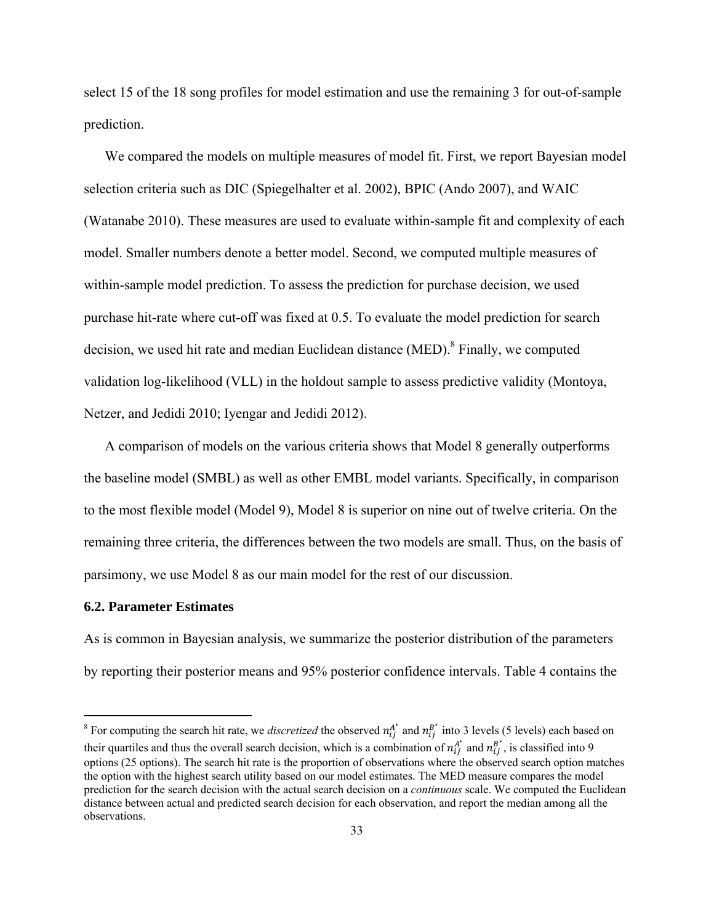select 15 of the 18 song profiles for model estimation and use the remaining 3 for out-of-sample prediction.

 We compared the models on multiple measures of model fit. First, we report Bayesian model selection criteria such as DIC (Spiegelhalter et al. 2002), BPIC (Ando 2007), and WAIC (Watanabe 2010). These measures are used to evaluate within-sample fit and complexity of each model. Smaller numbers denote a better model. Second, we computed multiple measures of within-sample model prediction. To assess the prediction for purchase decision, we used purchase hit-rate where cut-off was fixed at 0.5. To evaluate the model prediction for search decision, we used hit rate and median Euclidean distance (MED).<sup>8</sup> Finally, we computed validation log-likelihood (VLL) in the holdout sample to assess predictive validity (Montoya, Netzer, and Jedidi 2010; Iyengar and Jedidi 2012).

 A comparison of models on the various criteria shows that Model 8 generally outperforms the baseline model (SMBL) as well as other EMBL model variants. Specifically, in comparison to the most flexible model (Model 9), Model 8 is superior on nine out of twelve criteria. On the remaining three criteria, the differences between the two models are small. Thus, on the basis of parsimony, we use Model 8 as our main model for the rest of our discussion.

#### **6.2. Parameter Estimates**

As is common in Bayesian analysis, we summarize the posterior distribution of the parameters by reporting their posterior means and 95% posterior confidence intervals. Table 4 contains the

<sup>&</sup>lt;sup>8</sup> For computing the search hit rate, we *discretized* the observed  $n_{ij}^{A^*}$  and  $n_{ij}^{B^*}$  into 3 levels (5 levels) each based on their quartiles and thus the overall search decision, which is a combination of  $n_{ij}^{A^*}$  and  $n_{ij}^{B^*}$ , is classified into 9 options (25 options). The search hit rate is the proportion of observations where the observed search option matches the option with the highest search utility based on our model estimates. The MED measure compares the model prediction for the search decision with the actual search decision on a *continuous* scale. We computed the Euclidean distance between actual and predicted search decision for each observation, and report the median among all the observations.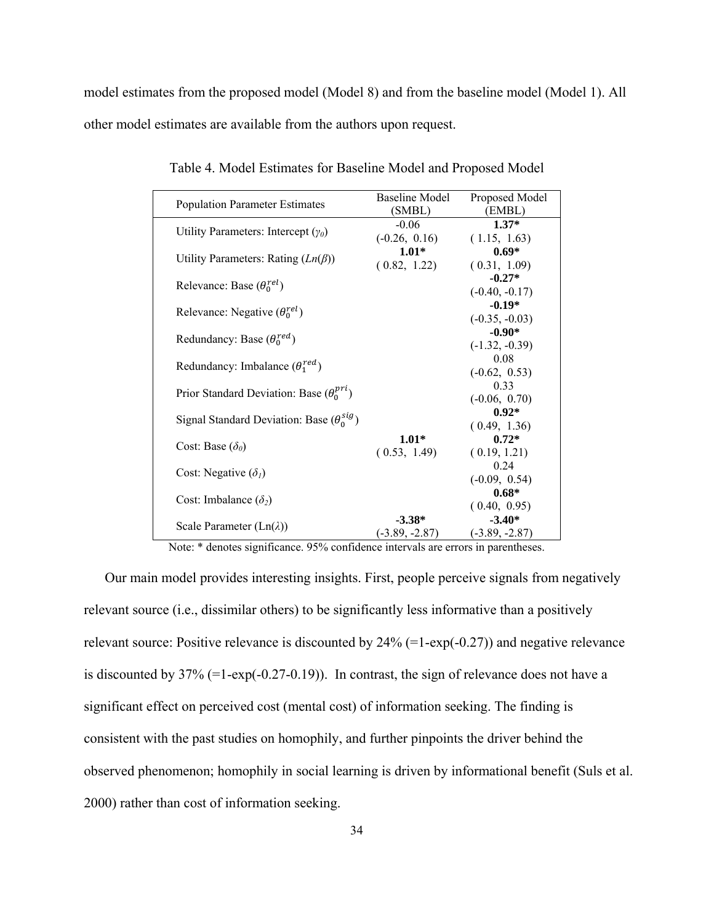model estimates from the proposed model (Model 8) and from the baseline model (Model 1). All other model estimates are available from the authors upon request.

| <b>Population Parameter Estimates</b>              | Baseline Model<br>(SMBL) | Proposed Model<br>(EMBL) |  |
|----------------------------------------------------|--------------------------|--------------------------|--|
|                                                    | $-0.06$                  | $1.37*$                  |  |
| Utility Parameters: Intercept $(\gamma_0)$         | $(-0.26, 0.16)$          | (1.15, 1.63)             |  |
|                                                    | $1.01*$                  | $0.69*$                  |  |
| Utility Parameters: Rating $(Ln(\beta))$           | (0.82, 1.22)             | (0.31, 1.09)             |  |
|                                                    |                          | $-0.27*$                 |  |
| Relevance: Base $(\theta_0^{rel})$                 |                          | $(-0.40, -0.17)$         |  |
|                                                    |                          | $-0.19*$                 |  |
| Relevance: Negative $(\theta_0^{rel})$             |                          | $(-0.35, -0.03)$         |  |
|                                                    |                          | $-0.90*$                 |  |
| Redundancy: Base $(\theta_0^{red})$                |                          | $(-1.32, -0.39)$         |  |
|                                                    |                          | 0.08                     |  |
| Redundancy: Imbalance $(\theta_1^{red})$           |                          | $(-0.62, 0.53)$          |  |
|                                                    |                          | 0.33                     |  |
| Prior Standard Deviation: Base $(\theta_0^{pri})$  |                          | $(-0.06, 0.70)$          |  |
| Signal Standard Deviation: Base $(\theta_0^{sig})$ |                          | $0.92*$                  |  |
|                                                    |                          | (0.49, 1.36)             |  |
| Cost: Base $(\delta_{\theta})$                     | $1.01*$                  | $0.72*$                  |  |
|                                                    | (0.53, 1.49)             | (0.19, 1.21)             |  |
|                                                    |                          | 0.24                     |  |
| Cost: Negative $(\delta_l)$                        |                          | $(-0.09, 0.54)$          |  |
|                                                    |                          | $0.68*$                  |  |
| Cost: Imbalance $(\delta_2)$                       |                          | (0.40, 0.95)             |  |
|                                                    | $-3.38*$                 | $-3.40*$                 |  |
| Scale Parameter $(Ln(\lambda))$                    | $(-3.89, -2.87)$         | $(-3.89, -2.87)$         |  |

Table 4. Model Estimates for Baseline Model and Proposed Model

Note: \* denotes significance. 95% confidence intervals are errors in parentheses.

 Our main model provides interesting insights. First, people perceive signals from negatively relevant source (i.e., dissimilar others) to be significantly less informative than a positively relevant source: Positive relevance is discounted by 24% (=1-exp(-0.27)) and negative relevance is discounted by 37% (=1-exp(-0.27-0.19)). In contrast, the sign of relevance does not have a significant effect on perceived cost (mental cost) of information seeking. The finding is consistent with the past studies on homophily, and further pinpoints the driver behind the observed phenomenon; homophily in social learning is driven by informational benefit (Suls et al. 2000) rather than cost of information seeking.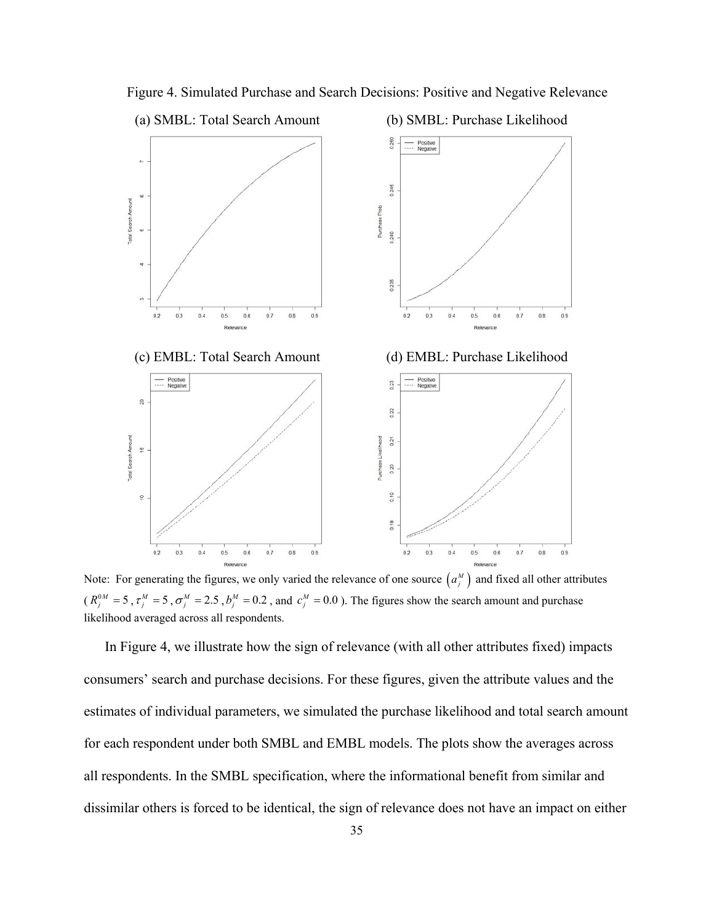

Figure 4. Simulated Purchase and Search Decisions: Positive and Negative Relevance

Note: For generating the figures, we only varied the relevance of one source  $(a_j^M)$  and fixed all other attributes  $(R_j^{0M} = 5, \tau_j^M = 5, \sigma_j^M = 2.5, b_j^M = 0.2$ , and  $c_j^M = 0.0$ ). The figures show the search amount and purchase likelihood averaged across all respondents.

 In Figure 4, we illustrate how the sign of relevance (with all other attributes fixed) impacts consumers' search and purchase decisions. For these figures, given the attribute values and the estimates of individual parameters, we simulated the purchase likelihood and total search amount for each respondent under both SMBL and EMBL models. The plots show the averages across all respondents. In the SMBL specification, where the informational benefit from similar and dissimilar others is forced to be identical, the sign of relevance does not have an impact on either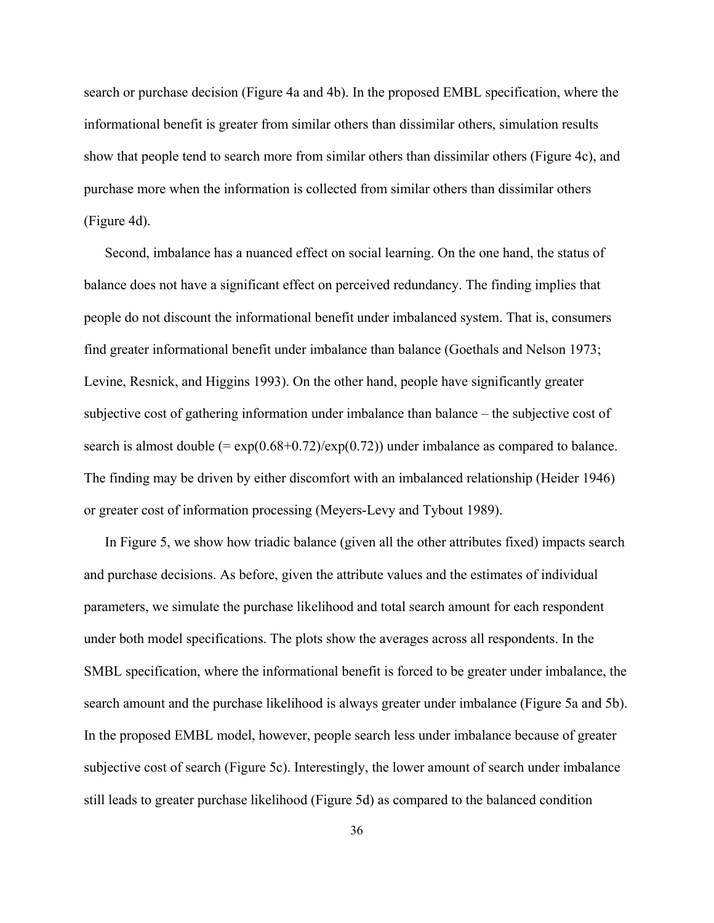search or purchase decision (Figure 4a and 4b). In the proposed EMBL specification, where the informational benefit is greater from similar others than dissimilar others, simulation results show that people tend to search more from similar others than dissimilar others (Figure 4c), and purchase more when the information is collected from similar others than dissimilar others (Figure 4d).

 Second, imbalance has a nuanced effect on social learning. On the one hand, the status of balance does not have a significant effect on perceived redundancy. The finding implies that people do not discount the informational benefit under imbalanced system. That is, consumers find greater informational benefit under imbalance than balance (Goethals and Nelson 1973; Levine, Resnick, and Higgins 1993). On the other hand, people have significantly greater subjective cost of gathering information under imbalance than balance – the subjective cost of search is almost double  $(= \exp(0.68+0.72)/\exp(0.72))$  under imbalance as compared to balance. The finding may be driven by either discomfort with an imbalanced relationship (Heider 1946) or greater cost of information processing (Meyers-Levy and Tybout 1989).

 In Figure 5, we show how triadic balance (given all the other attributes fixed) impacts search and purchase decisions. As before, given the attribute values and the estimates of individual parameters, we simulate the purchase likelihood and total search amount for each respondent under both model specifications. The plots show the averages across all respondents. In the SMBL specification, where the informational benefit is forced to be greater under imbalance, the search amount and the purchase likelihood is always greater under imbalance (Figure 5a and 5b). In the proposed EMBL model, however, people search less under imbalance because of greater subjective cost of search (Figure 5c). Interestingly, the lower amount of search under imbalance still leads to greater purchase likelihood (Figure 5d) as compared to the balanced condition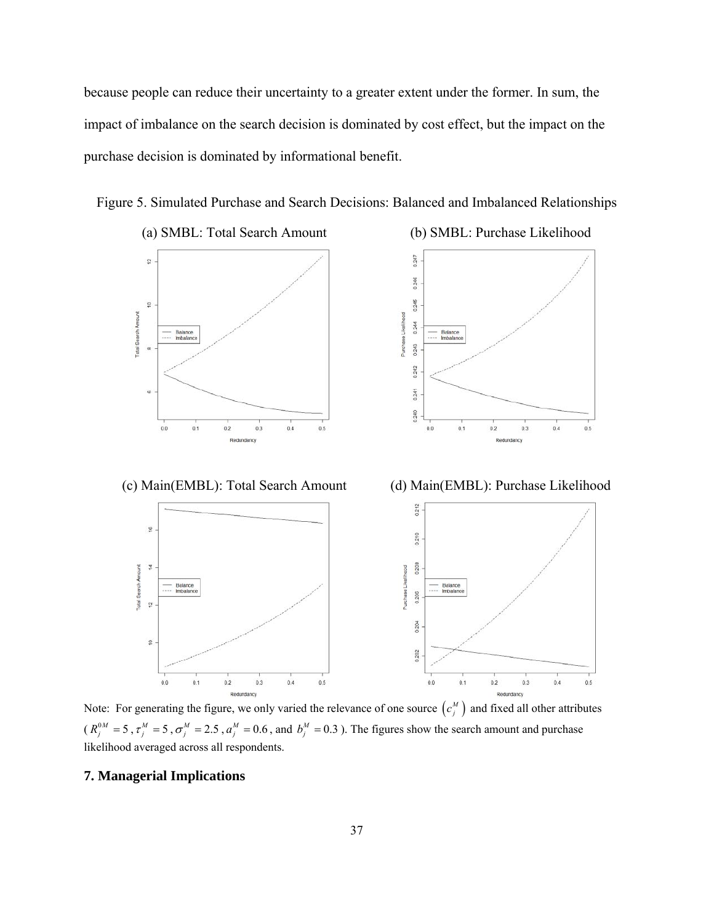because people can reduce their uncertainty to a greater extent under the former. In sum, the impact of imbalance on the search decision is dominated by cost effect, but the impact on the purchase decision is dominated by informational benefit.

Figure 5. Simulated Purchase and Search Decisions: Balanced and Imbalanced Relationships





(c) Main(EMBL): Total Search Amount (d) Main(EMBL): Purchase Likelihood



Note: For generating the figure, we only varied the relevance of one source  $(c_j^M)$  and fixed all other attributes  $(R_j^{0M} = 5, \tau_j^M = 5, \sigma_j^M = 2.5, a_j^M = 0.6$ , and  $b_j^M = 0.3$ ). The figures show the search amount and purchase likelihood averaged across all respondents.

# **7. Managerial Implications**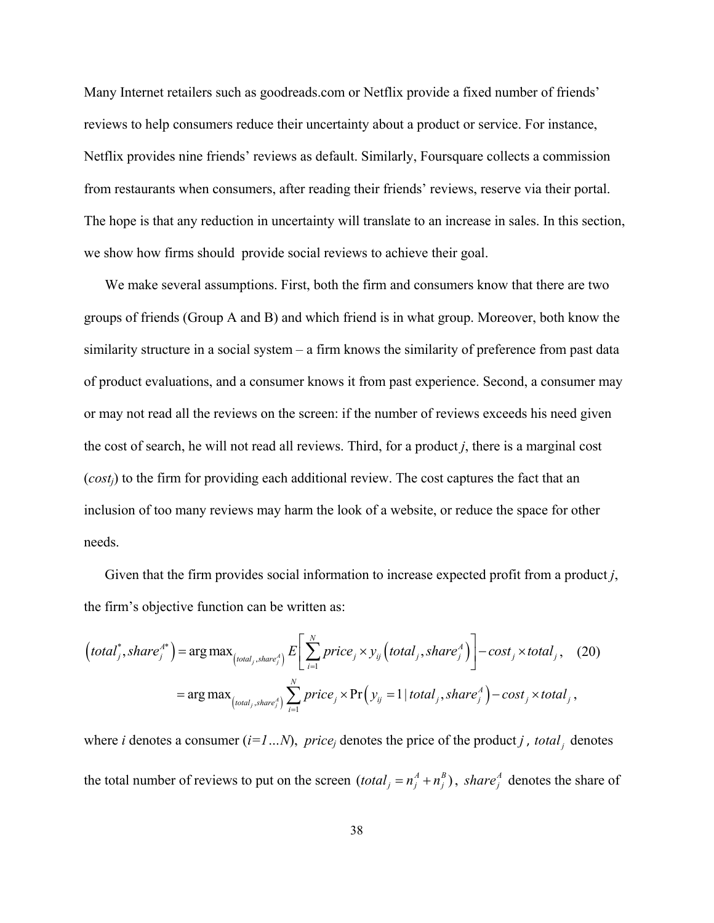Many Internet retailers such as goodreads.com or Netflix provide a fixed number of friends' reviews to help consumers reduce their uncertainty about a product or service. For instance, Netflix provides nine friends' reviews as default. Similarly, Foursquare collects a commission from restaurants when consumers, after reading their friends' reviews, reserve via their portal. The hope is that any reduction in uncertainty will translate to an increase in sales. In this section, we show how firms should provide social reviews to achieve their goal.

 We make several assumptions. First, both the firm and consumers know that there are two groups of friends (Group A and B) and which friend is in what group. Moreover, both know the similarity structure in a social system – a firm knows the similarity of preference from past data of product evaluations, and a consumer knows it from past experience. Second, a consumer may or may not read all the reviews on the screen: if the number of reviews exceeds his need given the cost of search, he will not read all reviews. Third, for a product *j*, there is a marginal cost (*costj*) to the firm for providing each additional review. The cost captures the fact that an inclusion of too many reviews may harm the look of a website, or reduce the space for other needs.

 Given that the firm provides social information to increase expected profit from a product *j*, the firm's objective function can be written as:

$$
\left( total_j^*, share_j^{A*} \right) = \arg \max_{\left( total_j, share_j^{A} \right)} E\left[\sum_{i=1}^N price_j \times y_{ij} \left( total_j, share_j^{A} \right) \right] - cost_j \times total_j, \quad (20)
$$
\n
$$
= \arg \max_{\left( total_j, share_j^{A} \right)} \sum_{i=1}^N price_j \times \Pr\left(y_{ij} = 1 | total_j, share_j^{A} \right) - cost_j \times total_j,
$$

where *i* denotes a consumer  $(i=1...N)$ , *price<sub>j</sub>* denotes the price of the product *j*, *total* denotes the total number of reviews to put on the screen  $(total_j = n_j^A + n_j^B)$ , share<sub>j</sub> denotes the share of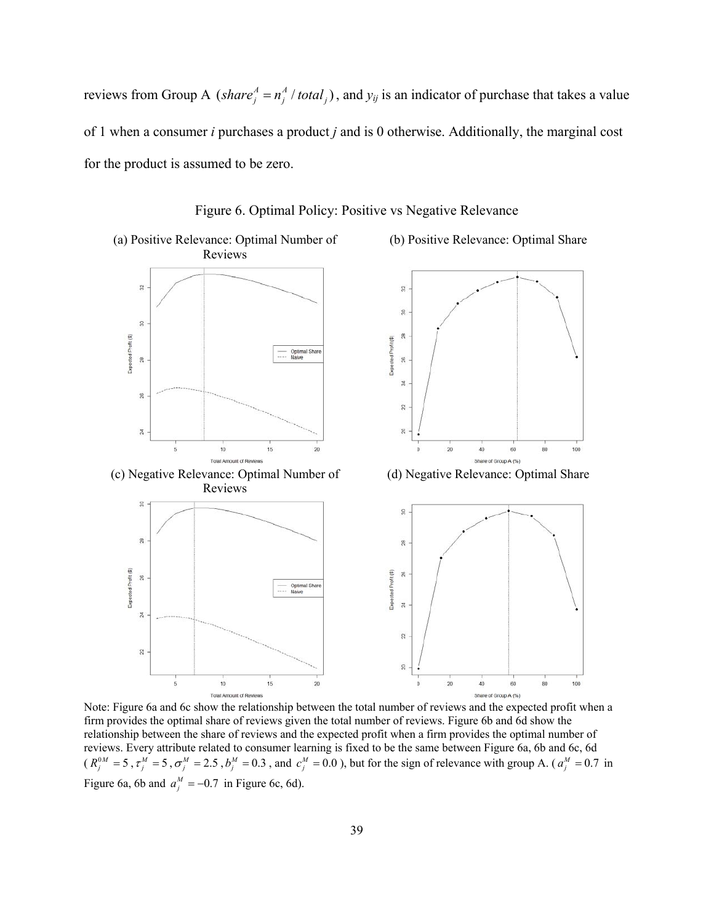reviews from Group A (*share*<sup> $A$ </sup> =  $n_j^A$  / *total*<sub>*j*</sub>), and  $y_{ij}$  is an indicator of purchase that takes a value of 1 when a consumer *i* purchases a product *j* and is 0 otherwise. Additionally, the marginal cost for the product is assumed to be zero.





Note: Figure 6a and 6c show the relationship between the total number of reviews and the expected profit when a firm provides the optimal share of reviews given the total number of reviews. Figure 6b and 6d show the relationship between the share of reviews and the expected profit when a firm provides the optimal number of reviews. Every attribute related to consumer learning is fixed to be the same between Figure 6a, 6b and 6c, 6d  $(R_j^{0M} = 5, \tau_j^M = 5, \sigma_j^M = 2.5, b_j^M = 0.3$ , and  $c_j^M = 0.0$ ), but for the sign of relevance with group A. ( $a_j^M = 0.7$  in Figure 6a, 6b and  $a_j^M = -0.7$  in Figure 6c, 6d).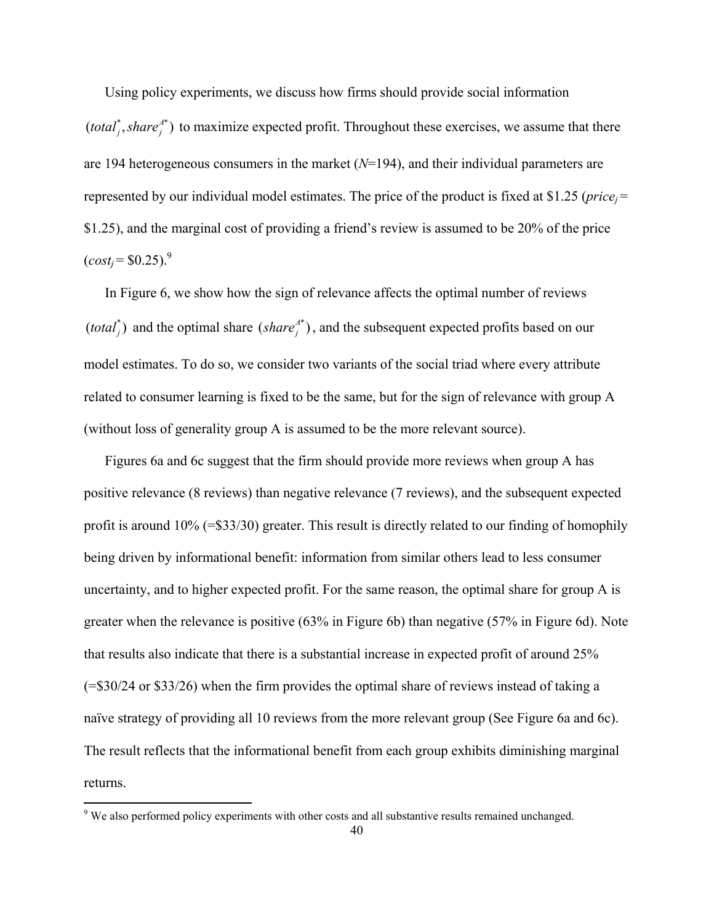Using policy experiments, we discuss how firms should provide social information  $(total<sub>j</sub><sup>*</sup>, share<sub>j</sub><sup>A*</sup>)$  to maximize expected profit. Throughout these exercises, we assume that there are 194 heterogeneous consumers in the market (*N*=194), and their individual parameters are represented by our individual model estimates. The price of the product is fixed at \$1.25 (*price*<sub>i</sub>= \$1.25), and the marginal cost of providing a friend's review is assumed to be 20% of the price  $(cost_i = $0.25)^9$ 

 In Figure 6, we show how the sign of relevance affects the optimal number of reviews  $(total_j^*)$  and the optimal share  $(share_j^{A*})$ , and the subsequent expected profits based on our model estimates. To do so, we consider two variants of the social triad where every attribute related to consumer learning is fixed to be the same, but for the sign of relevance with group A (without loss of generality group A is assumed to be the more relevant source).

 Figures 6a and 6c suggest that the firm should provide more reviews when group A has positive relevance (8 reviews) than negative relevance (7 reviews), and the subsequent expected profit is around 10% (=\$33/30) greater. This result is directly related to our finding of homophily being driven by informational benefit: information from similar others lead to less consumer uncertainty, and to higher expected profit. For the same reason, the optimal share for group A is greater when the relevance is positive (63% in Figure 6b) than negative (57% in Figure 6d). Note that results also indicate that there is a substantial increase in expected profit of around 25% (=\$30/24 or \$33/26) when the firm provides the optimal share of reviews instead of taking a naïve strategy of providing all 10 reviews from the more relevant group (See Figure 6a and 6c). The result reflects that the informational benefit from each group exhibits diminishing marginal returns.

<sup>&</sup>lt;sup>9</sup> We also performed policy experiments with other costs and all substantive results remained unchanged.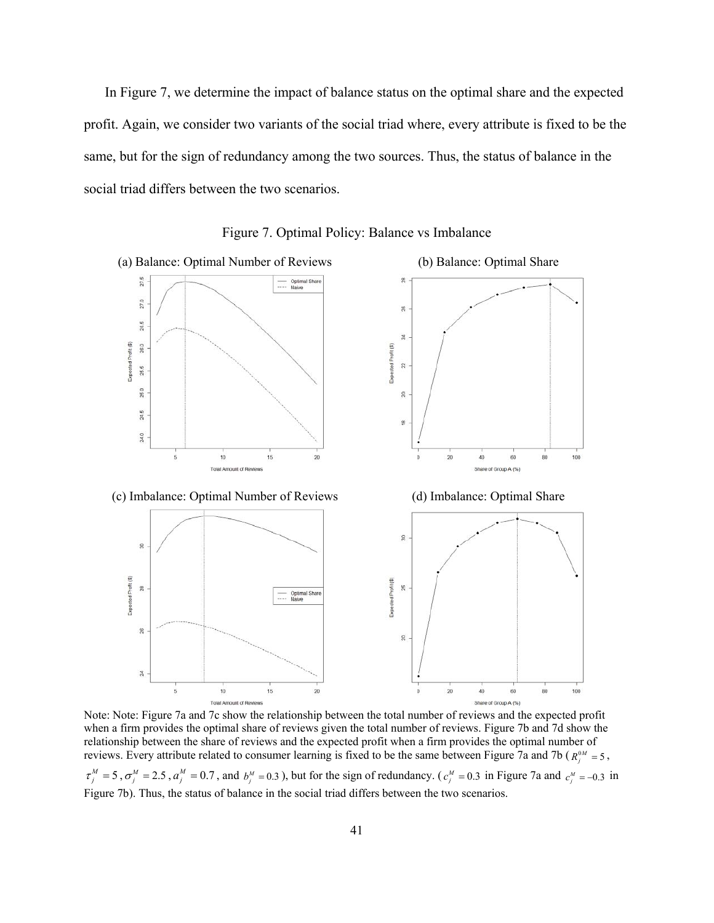In Figure 7, we determine the impact of balance status on the optimal share and the expected profit. Again, we consider two variants of the social triad where, every attribute is fixed to be the same, but for the sign of redundancy among the two sources. Thus, the status of balance in the social triad differs between the two scenarios.



Figure 7. Optimal Policy: Balance vs Imbalance

Note: Note: Figure 7a and 7c show the relationship between the total number of reviews and the expected profit when a firm provides the optimal share of reviews given the total number of reviews. Figure 7b and 7d show the relationship between the share of reviews and the expected profit when a firm provides the optimal number of reviews. Every attribute related to consumer learning is fixed to be the same between Figure 7a and 7b ( $R_i^{0M} = 5$ ,  $\tau_j^M = 5$ ,  $\sigma_j^M = 2.5$ ,  $a_j^M = 0.7$ , and  $b_j^M = 0.3$ ), but for the sign of redundancy. ( $c_j^M = 0.3$  in Figure 7a and  $c_j^M = -0.3$  in Figure 7b). Thus, the status of balance in the social triad differs between the two scenarios.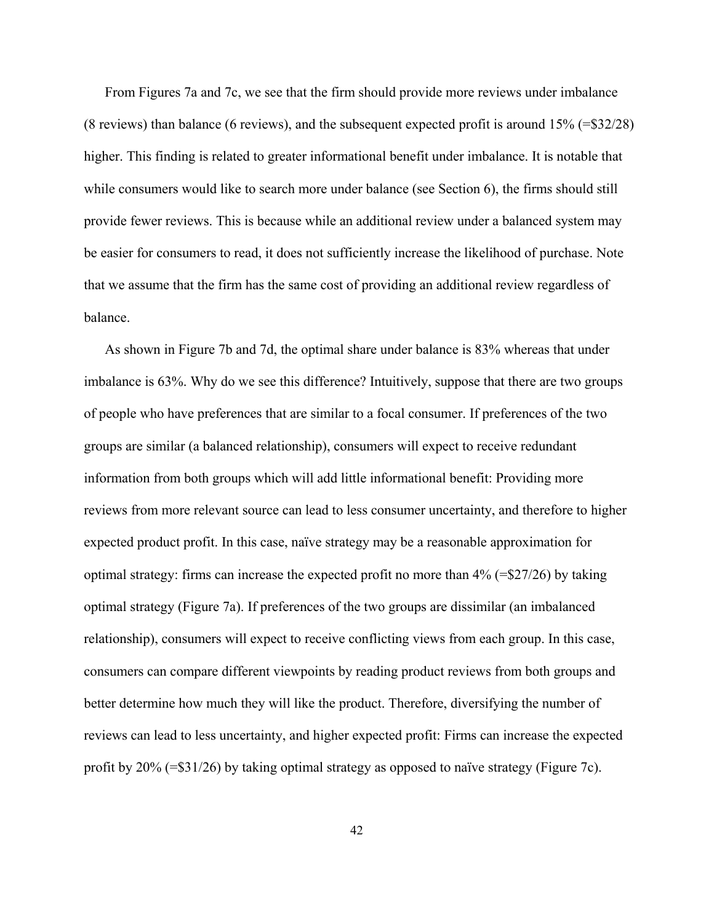From Figures 7a and 7c, we see that the firm should provide more reviews under imbalance (8 reviews) than balance (6 reviews), and the subsequent expected profit is around 15% (=\$32/28) higher. This finding is related to greater informational benefit under imbalance. It is notable that while consumers would like to search more under balance (see Section 6), the firms should still provide fewer reviews. This is because while an additional review under a balanced system may be easier for consumers to read, it does not sufficiently increase the likelihood of purchase. Note that we assume that the firm has the same cost of providing an additional review regardless of balance.

 As shown in Figure 7b and 7d, the optimal share under balance is 83% whereas that under imbalance is 63%. Why do we see this difference? Intuitively, suppose that there are two groups of people who have preferences that are similar to a focal consumer. If preferences of the two groups are similar (a balanced relationship), consumers will expect to receive redundant information from both groups which will add little informational benefit: Providing more reviews from more relevant source can lead to less consumer uncertainty, and therefore to higher expected product profit. In this case, naïve strategy may be a reasonable approximation for optimal strategy: firms can increase the expected profit no more than 4% (=\$27/26) by taking optimal strategy (Figure 7a). If preferences of the two groups are dissimilar (an imbalanced relationship), consumers will expect to receive conflicting views from each group. In this case, consumers can compare different viewpoints by reading product reviews from both groups and better determine how much they will like the product. Therefore, diversifying the number of reviews can lead to less uncertainty, and higher expected profit: Firms can increase the expected profit by 20% (=\$31/26) by taking optimal strategy as opposed to naïve strategy (Figure 7c).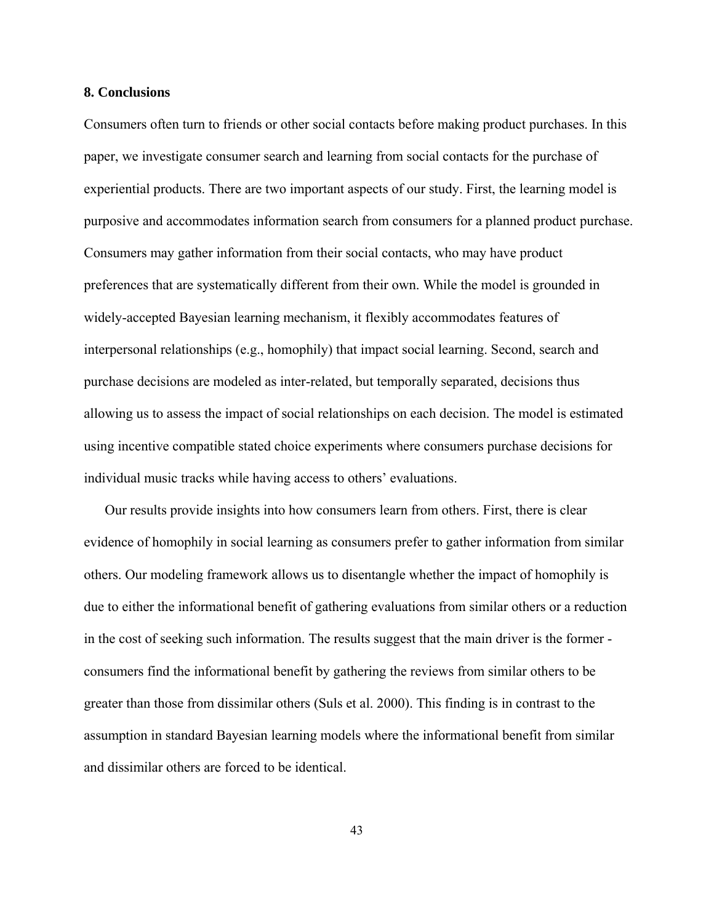#### **8. Conclusions**

Consumers often turn to friends or other social contacts before making product purchases. In this paper, we investigate consumer search and learning from social contacts for the purchase of experiential products. There are two important aspects of our study. First, the learning model is purposive and accommodates information search from consumers for a planned product purchase. Consumers may gather information from their social contacts, who may have product preferences that are systematically different from their own. While the model is grounded in widely-accepted Bayesian learning mechanism, it flexibly accommodates features of interpersonal relationships (e.g., homophily) that impact social learning. Second, search and purchase decisions are modeled as inter-related, but temporally separated, decisions thus allowing us to assess the impact of social relationships on each decision. The model is estimated using incentive compatible stated choice experiments where consumers purchase decisions for individual music tracks while having access to others' evaluations.

 Our results provide insights into how consumers learn from others. First, there is clear evidence of homophily in social learning as consumers prefer to gather information from similar others. Our modeling framework allows us to disentangle whether the impact of homophily is due to either the informational benefit of gathering evaluations from similar others or a reduction in the cost of seeking such information. The results suggest that the main driver is the former consumers find the informational benefit by gathering the reviews from similar others to be greater than those from dissimilar others (Suls et al. 2000). This finding is in contrast to the assumption in standard Bayesian learning models where the informational benefit from similar and dissimilar others are forced to be identical.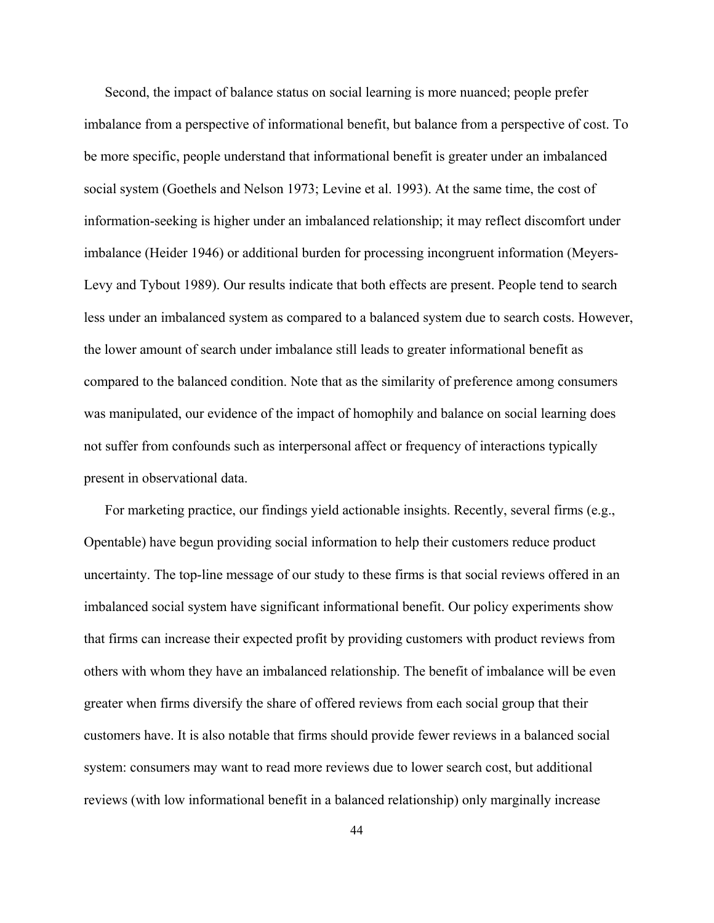Second, the impact of balance status on social learning is more nuanced; people prefer imbalance from a perspective of informational benefit, but balance from a perspective of cost. To be more specific, people understand that informational benefit is greater under an imbalanced social system (Goethels and Nelson 1973; Levine et al. 1993). At the same time, the cost of information-seeking is higher under an imbalanced relationship; it may reflect discomfort under imbalance (Heider 1946) or additional burden for processing incongruent information (Meyers-Levy and Tybout 1989). Our results indicate that both effects are present. People tend to search less under an imbalanced system as compared to a balanced system due to search costs. However, the lower amount of search under imbalance still leads to greater informational benefit as compared to the balanced condition. Note that as the similarity of preference among consumers was manipulated, our evidence of the impact of homophily and balance on social learning does not suffer from confounds such as interpersonal affect or frequency of interactions typically present in observational data.

 For marketing practice, our findings yield actionable insights. Recently, several firms (e.g., Opentable) have begun providing social information to help their customers reduce product uncertainty. The top-line message of our study to these firms is that social reviews offered in an imbalanced social system have significant informational benefit. Our policy experiments show that firms can increase their expected profit by providing customers with product reviews from others with whom they have an imbalanced relationship. The benefit of imbalance will be even greater when firms diversify the share of offered reviews from each social group that their customers have. It is also notable that firms should provide fewer reviews in a balanced social system: consumers may want to read more reviews due to lower search cost, but additional reviews (with low informational benefit in a balanced relationship) only marginally increase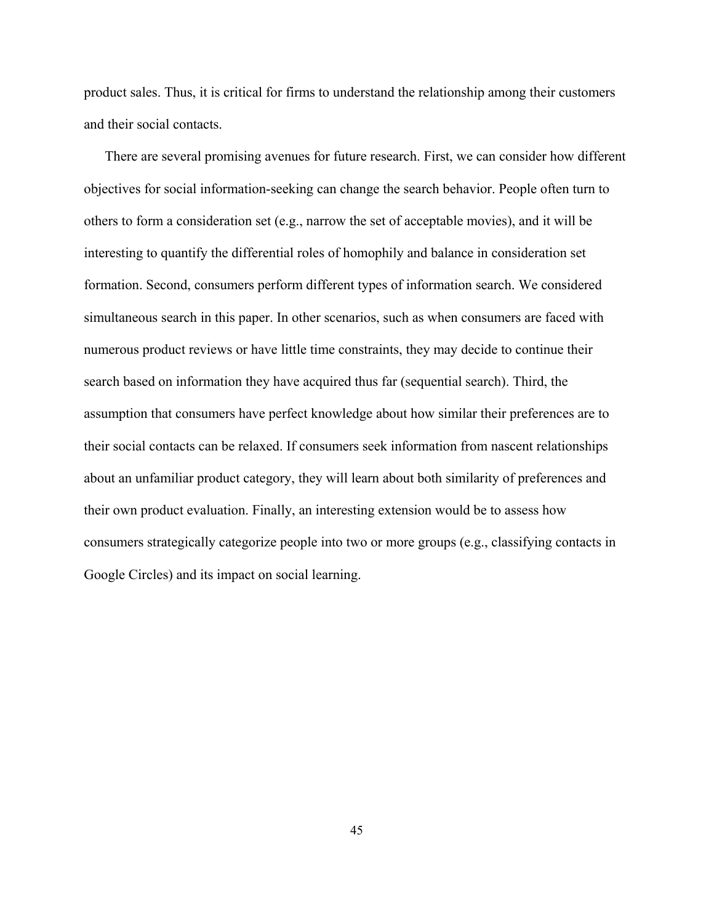product sales. Thus, it is critical for firms to understand the relationship among their customers and their social contacts.

 There are several promising avenues for future research. First, we can consider how different objectives for social information-seeking can change the search behavior. People often turn to others to form a consideration set (e.g., narrow the set of acceptable movies), and it will be interesting to quantify the differential roles of homophily and balance in consideration set formation. Second, consumers perform different types of information search. We considered simultaneous search in this paper. In other scenarios, such as when consumers are faced with numerous product reviews or have little time constraints, they may decide to continue their search based on information they have acquired thus far (sequential search). Third, the assumption that consumers have perfect knowledge about how similar their preferences are to their social contacts can be relaxed. If consumers seek information from nascent relationships about an unfamiliar product category, they will learn about both similarity of preferences and their own product evaluation. Finally, an interesting extension would be to assess how consumers strategically categorize people into two or more groups (e.g., classifying contacts in Google Circles) and its impact on social learning.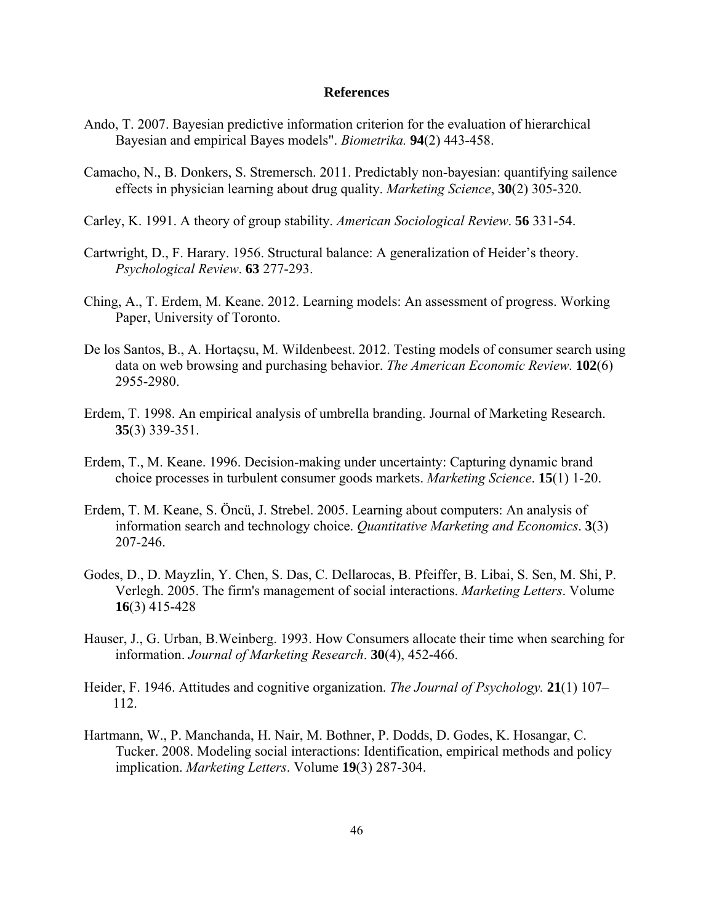#### **References**

- Ando, T. 2007. Bayesian predictive information criterion for the evaluation of hierarchical Bayesian and empirical Bayes models". *Biometrika.* **94**(2) 443-458.
- Camacho, N., B. Donkers, S. Stremersch. 2011. Predictably non-bayesian: quantifying sailence effects in physician learning about drug quality. *Marketing Science*, **30**(2) 305-320.
- Carley, K. 1991. A theory of group stability. *American Sociological Review*. **56** 331-54.
- Cartwright, D., F. Harary. 1956. Structural balance: A generalization of Heider's theory. *Psychological Review*. **63** 277-293.
- Ching, A., T. Erdem, M. Keane. 2012. Learning models: An assessment of progress. Working Paper, University of Toronto.
- De los Santos, B., A. Hortaçsu, M. Wildenbeest. 2012. Testing models of consumer search using data on web browsing and purchasing behavior. *The American Economic Review*. **102**(6) 2955-2980.
- Erdem, T. 1998. An empirical analysis of umbrella branding. Journal of Marketing Research. **35**(3) 339-351.
- Erdem, T., M. Keane. 1996. Decision-making under uncertainty: Capturing dynamic brand choice processes in turbulent consumer goods markets. *Marketing Science*. **15**(1) 1-20.
- Erdem, T. M. Keane, S. Öncü, J. Strebel. 2005. Learning about computers: An analysis of information search and technology choice. *Quantitative Marketing and Economics*. **3**(3) 207-246.
- Godes, D., D. Mayzlin, Y. Chen, S. Das, C. Dellarocas, B. Pfeiffer, B. Libai, S. Sen, M. Shi, P. Verlegh. 2005. The firm's management of social interactions. *Marketing Letters*. Volume **16**(3) 415-428
- Hauser, J., G. Urban, B.Weinberg. 1993. How Consumers allocate their time when searching for information. *Journal of Marketing Research*. **30**(4), 452-466.
- Heider, F. 1946. Attitudes and cognitive organization. *The Journal of Psychology.* **21**(1) 107– 112.
- Hartmann, W., P. Manchanda, H. Nair, M. Bothner, P. Dodds, D. Godes, K. Hosangar, C. Tucker. 2008. Modeling social interactions: Identification, empirical methods and policy implication. *Marketing Letters*. Volume **19**(3) 287-304.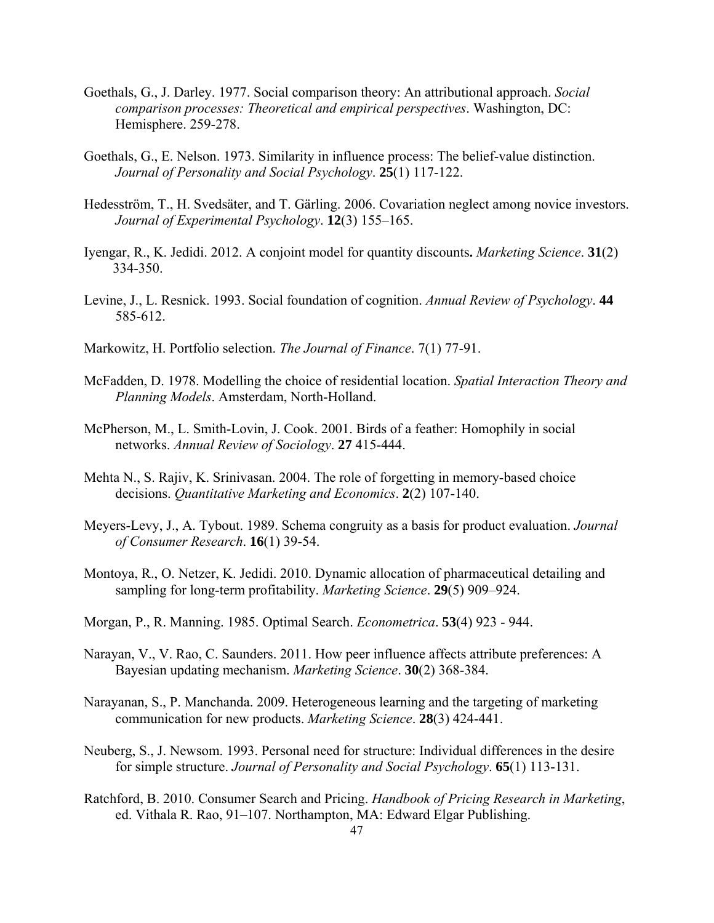- Goethals, G., J. Darley. 1977. Social comparison theory: An attributional approach. *Social comparison processes: Theoretical and empirical perspectives*. Washington, DC: Hemisphere. 259-278.
- Goethals, G., E. Nelson. 1973. Similarity in influence process: The belief-value distinction. *Journal of Personality and Social Psychology*. **25**(1) 117-122.
- Hedesström, T., H. Svedsäter, and T. Gärling. 2006. Covariation neglect among novice investors. *Journal of Experimental Psychology*. **12**(3) 155–165.
- Iyengar, R., K. Jedidi. 2012. A conjoint model for quantity discounts**.** *Marketing Science*. **31**(2) 334-350.
- Levine, J., L. Resnick. 1993. Social foundation of cognition. *Annual Review of Psychology*. **44** 585-612.
- Markowitz, H. Portfolio selection. *The Journal of Finance*. 7(1) 77-91.
- McFadden, D. 1978. Modelling the choice of residential location. *Spatial Interaction Theory and Planning Models*. Amsterdam, North-Holland.
- McPherson, M., L. Smith-Lovin, J. Cook. 2001. Birds of a feather: Homophily in social networks. *Annual Review of Sociology*. **27** 415-444.
- Mehta N., S. Rajiv, K. Srinivasan. 2004. The role of forgetting in memory-based choice decisions. *Quantitative Marketing and Economics*. **2**(2) 107-140.
- Meyers-Levy, J., A. Tybout. 1989. Schema congruity as a basis for product evaluation. *Journal of Consumer Research*. **16**(1) 39-54.
- Montoya, R., O. Netzer, K. Jedidi. 2010. Dynamic allocation of pharmaceutical detailing and sampling for long-term profitability. *Marketing Science*. **29**(5) 909–924.
- Morgan, P., R. Manning. 1985. Optimal Search. *Econometrica*. **53**(4) 923 944.
- Narayan, V., V. Rao, C. Saunders. 2011. How peer influence affects attribute preferences: A Bayesian updating mechanism. *Marketing Science*. **30**(2) 368-384.
- Narayanan, S., P. Manchanda. 2009. Heterogeneous learning and the targeting of marketing communication for new products. *Marketing Science*. **28**(3) 424-441.
- Neuberg, S., J. Newsom. 1993. Personal need for structure: Individual differences in the desire for simple structure. *Journal of Personality and Social Psychology*. **65**(1) 113-131.
- Ratchford, B. 2010. Consumer Search and Pricing. *Handbook of Pricing Research in Marketing*, ed. Vithala R. Rao, 91–107. Northampton, MA: Edward Elgar Publishing.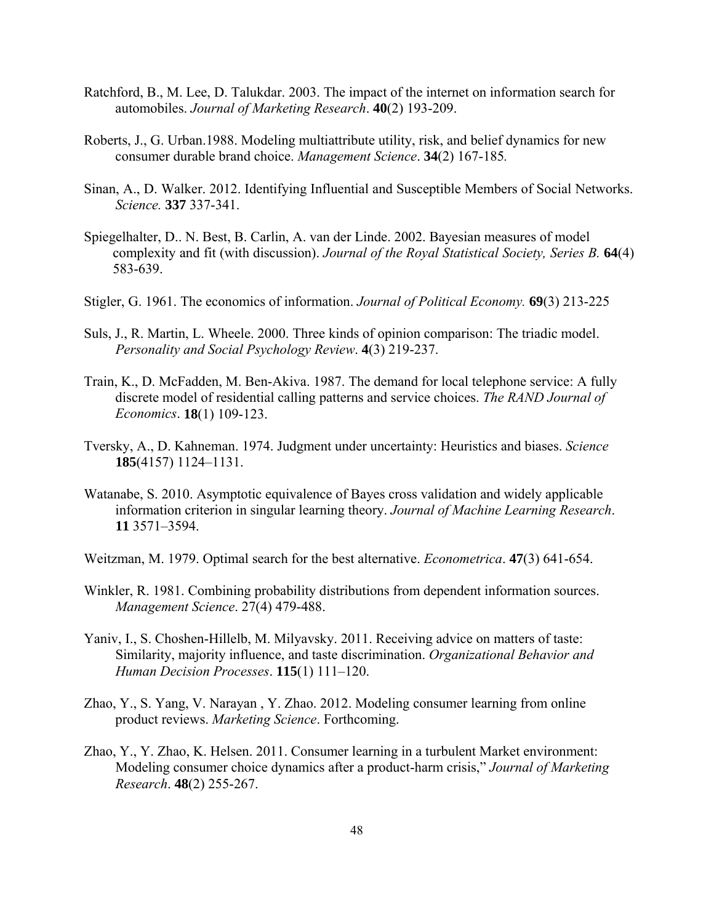- Ratchford, B., M. Lee, D. Talukdar. 2003. The impact of the internet on information search for automobiles. *Journal of Marketing Research*. **40**(2) 193-209.
- Roberts, J., G. Urban.1988. Modeling multiattribute utility, risk, and belief dynamics for new consumer durable brand choice. *Management Science*. **34**(2) 167-185*.*
- Sinan, A., D. Walker. 2012. Identifying Influential and Susceptible Members of Social Networks. *Science.* **337** 337-341.
- Spiegelhalter, D.. N. Best, B. Carlin, A. van der Linde. 2002. Bayesian measures of model complexity and fit (with discussion). *Journal of the Royal Statistical Society, Series B.* **64**(4) 583-639.
- Stigler, G. 1961. The economics of information. *Journal of Political Economy.* **69**(3) 213-225
- Suls, J., R. Martin, L. Wheele. 2000. Three kinds of opinion comparison: The triadic model. *Personality and Social Psychology Review*. **4**(3) 219-237.
- Train, K., D. McFadden, M. Ben-Akiva. 1987. The demand for local telephone service: A fully discrete model of residential calling patterns and service choices. *The RAND Journal of Economics*. **18**(1) 109-123.
- Tversky, A., D. Kahneman. 1974. Judgment under uncertainty: Heuristics and biases. *Science* **185**(4157) 1124–1131.
- Watanabe, S. 2010. Asymptotic equivalence of Bayes cross validation and widely applicable information criterion in singular learning theory. *Journal of Machine Learning Research*. **11** 3571–3594.
- Weitzman, M. 1979. Optimal search for the best alternative. *Econometrica*. **47**(3) 641-654.
- Winkler, R. 1981. Combining probability distributions from dependent information sources. *Management Science*. 27(4) 479-488.
- Yaniv, I., S. Choshen-Hillelb, M. Milyavsky. 2011. Receiving advice on matters of taste: Similarity, majority influence, and taste discrimination. *Organizational Behavior and Human Decision Processes*. **115**(1) 111–120.
- Zhao, Y., S. Yang, V. Narayan , Y. Zhao. 2012. Modeling consumer learning from online product reviews. *Marketing Science*. Forthcoming.
- Zhao, Y., Y. Zhao, K. Helsen. 2011. Consumer learning in a turbulent Market environment: Modeling consumer choice dynamics after a product-harm crisis," *Journal of Marketing Research*. **48**(2) 255-267.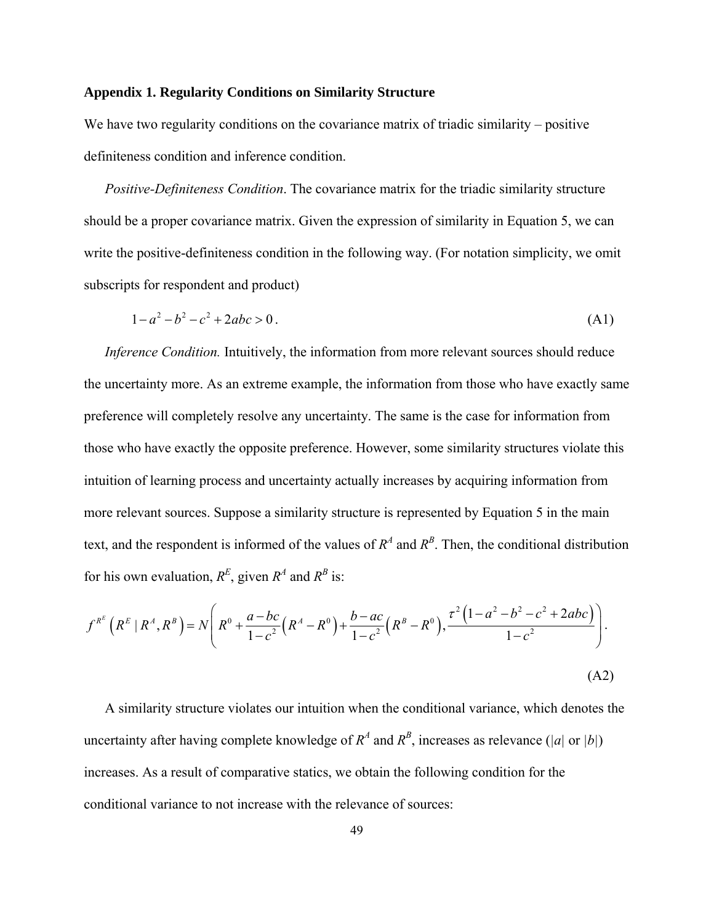# **Appendix 1. Regularity Conditions on Similarity Structure**

We have two regularity conditions on the covariance matrix of triadic similarity – positive definiteness condition and inference condition.

*Positive-Definiteness Condition*. The covariance matrix for the triadic similarity structure should be a proper covariance matrix. Given the expression of similarity in Equation 5, we can write the positive-definiteness condition in the following way. (For notation simplicity, we omit subscripts for respondent and product)

$$
1 - a^2 - b^2 - c^2 + 2abc > 0.
$$
 (A1)

 *Inference Condition.* Intuitively, the information from more relevant sources should reduce the uncertainty more. As an extreme example, the information from those who have exactly same preference will completely resolve any uncertainty. The same is the case for information from those who have exactly the opposite preference. However, some similarity structures violate this intuition of learning process and uncertainty actually increases by acquiring information from more relevant sources. Suppose a similarity structure is represented by Equation 5 in the main text, and the respondent is informed of the values of  $R^A$  and  $R^B$ . Then, the conditional distribution for his own evaluation,  $R^E$ , given  $R^A$  and  $R^B$  is:

$$
f^{R^E} \left( R^E | R^A, R^B \right) = N \left( R^0 + \frac{a - bc}{1 - c^2} \left( R^A - R^0 \right) + \frac{b - ac}{1 - c^2} \left( R^B - R^0 \right), \frac{\tau^2 \left( 1 - a^2 - b^2 - c^2 + 2abc \right)}{1 - c^2} \right).
$$
\n(A2)

 A similarity structure violates our intuition when the conditional variance, which denotes the uncertainty after having complete knowledge of  $R^A$  and  $R^B$ , increases as relevance (|a| or |b|) increases. As a result of comparative statics, we obtain the following condition for the conditional variance to not increase with the relevance of sources: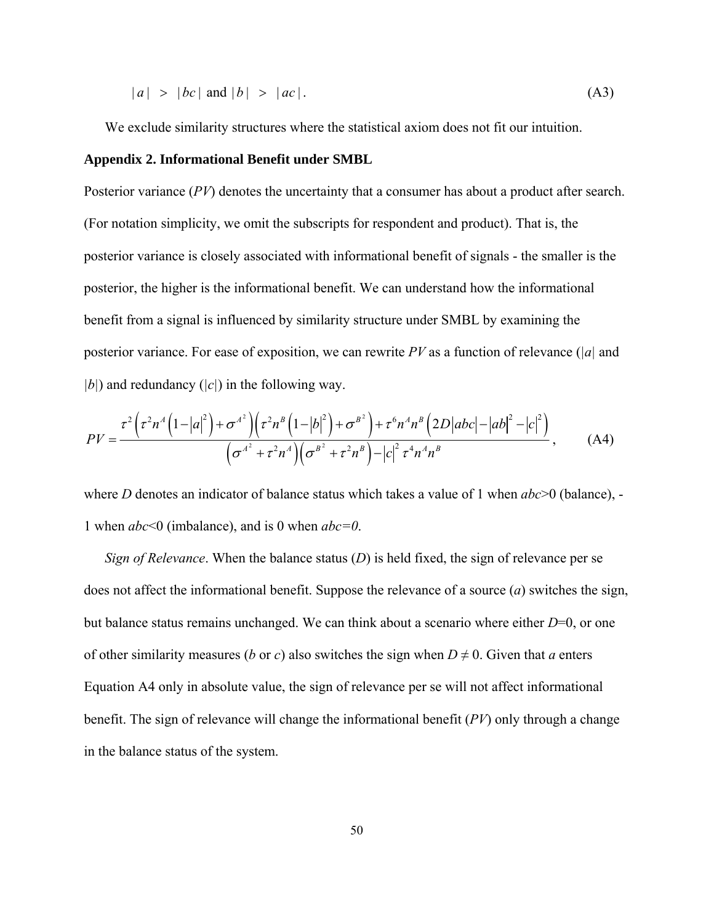$$
|a| > |bc| \text{ and } |b| > |ac|.
$$
 (A3)

We exclude similarity structures where the statistical axiom does not fit our intuition.

#### **Appendix 2. Informational Benefit under SMBL**

Posterior variance (*PV*) denotes the uncertainty that a consumer has about a product after search. (For notation simplicity, we omit the subscripts for respondent and product). That is, the posterior variance is closely associated with informational benefit of signals - the smaller is the posterior, the higher is the informational benefit. We can understand how the informational benefit from a signal is influenced by similarity structure under SMBL by examining the posterior variance. For ease of exposition, we can rewrite *PV* as a function of relevance (*|a|* and *|b|*) and redundancy (*|c|*) in the following way.

$$
PV = \frac{\tau^{2} \left(\tau^{2} n^{4} \left(1-|a|^{2}\right)+\sigma^{A^{2}}\right) \left(\tau^{2} n^{B} \left(1-|b|^{2}\right)+\sigma^{B^{2}}\right)+\tau^{6} n^{4} n^{B} \left(2D|abc|-|ab|^{2}-|c|^{2}\right)}{\left(\sigma^{A^{2}}+\tau^{2} n^{4}\right) \left(\sigma^{B^{2}}+\tau^{2} n^{B}\right)-|c|^{2} \tau^{4} n^{4} n^{B}}, \qquad (A4)
$$

where *D* denotes an indicator of balance status which takes a value of 1 when  $abc$  > 0 (balance), -1 when *abc*<0 (imbalance), and is 0 when *abc=0*.

*Sign of Relevance*. When the balance status (*D*) is held fixed, the sign of relevance per se does not affect the informational benefit. Suppose the relevance of a source (*a*) switches the sign, but balance status remains unchanged. We can think about a scenario where either *D*=0, or one of other similarity measures (*b* or *c*) also switches the sign when  $D \neq 0$ . Given that *a* enters Equation A4 only in absolute value, the sign of relevance per se will not affect informational benefit. The sign of relevance will change the informational benefit (*PV*) only through a change in the balance status of the system.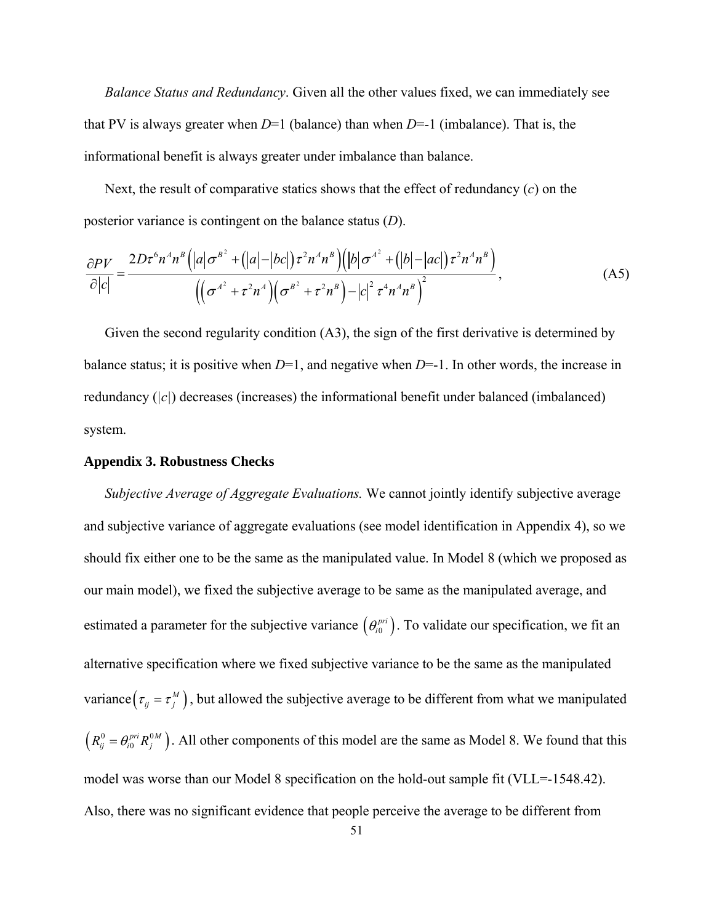*Balance Status and Redundancy*. Given all the other values fixed, we can immediately see that PV is always greater when  $D=1$  (balance) than when  $D=-1$  (imbalance). That is, the informational benefit is always greater under imbalance than balance.

 Next, the result of comparative statics shows that the effect of redundancy (*c*) on the posterior variance is contingent on the balance status (*D*).

$$
\frac{\partial PV}{\partial |c|} = \frac{2D\tau^6 n^4 n^8 \left( |a|\sigma^{B^2} + (|a|-|bc|)\tau^2 n^4 n^B \right) \left( |b|\sigma^{A^2} + (|b|-|ac|)\tau^2 n^4 n^B \right)}{\left( \left( \sigma^{A^2} + \tau^2 n^4 \right) \left( \sigma^{B^2} + \tau^2 n^B \right) - |c|^2 \tau^4 n^4 n^B \right)^2},\tag{A5}
$$

 Given the second regularity condition (A3), the sign of the first derivative is determined by balance status; it is positive when *D*=1, and negative when *D*=-1. In other words, the increase in redundancy (*|c|*) decreases (increases) the informational benefit under balanced (imbalanced) system.

#### **Appendix 3. Robustness Checks**

*Subjective Average of Aggregate Evaluations.* We cannot jointly identify subjective average and subjective variance of aggregate evaluations (see model identification in Appendix 4), so we should fix either one to be the same as the manipulated value. In Model 8 (which we proposed as our main model), we fixed the subjective average to be same as the manipulated average, and estimated a parameter for the subjective variance  $(\theta_i^{pri})$ . To validate our specification, we fit an alternative specification where we fixed subjective variance to be the same as the manipulated variance  $(\tau_{ij} = \tau_j^M)$ , but allowed the subjective average to be different from what we manipulated  $(R_{ij}^0 = \theta_{i0}^{pri} R_j^{0M})$ . All other components of this model are the same as Model 8. We found that this model was worse than our Model 8 specification on the hold-out sample fit (VLL=-1548.42). Also, there was no significant evidence that people perceive the average to be different from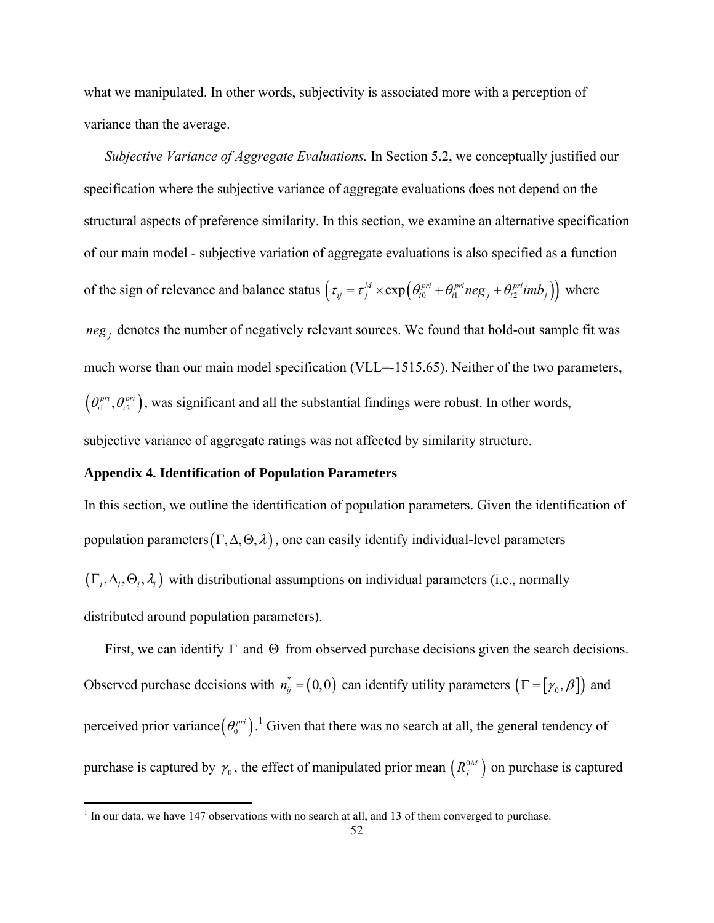what we manipulated. In other words, subjectivity is associated more with a perception of variance than the average.

*Subjective Variance of Aggregate Evaluations.* In Section 5.2, we conceptually justified our specification where the subjective variance of aggregate evaluations does not depend on the structural aspects of preference similarity. In this section, we examine an alternative specification of our main model - subjective variation of aggregate evaluations is also specified as a function of the sign of relevance and balance status  $(\tau_{ij} = \tau_j^M \times \exp(\theta_{i0}^{pri} + \theta_{i1}^{pri} neg_j + \theta_{i2}^{pri}imb_j))$  where  $neg_j$  denotes the number of negatively relevant sources. We found that hold-out sample fit was much worse than our main model specification (VLL=-1515.65). Neither of the two parameters,  $(\theta_{i1}^{pri}, \theta_{i2}^{pri})$ , was significant and all the substantial findings were robust. In other words, subjective variance of aggregate ratings was not affected by similarity structure.

#### **Appendix 4. Identification of Population Parameters**

In this section, we outline the identification of population parameters. Given the identification of population parameters  $(\Gamma, \Delta, \Theta, \lambda)$ , one can easily identify individual-level parameters  $(\Gamma_i, \Delta_i, \Theta_i, \lambda_i)$  with distributional assumptions on individual parameters (i.e., normally distributed around population parameters).

First, we can identify  $\Gamma$  and  $\Theta$  from observed purchase decisions given the search decisions. Observed purchase decisions with  $n_{ij}^* = (0,0)$  can identify utility parameters  $(\Gamma = [\gamma_0, \beta])$  and perceived prior variance  $(\theta_0^{pri})$ .<sup>1</sup> Given that there was no search at all, the general tendency of purchase is captured by  $\gamma_0$ , the effect of manipulated prior mean  $(R_j^{\circ M})$  on purchase is captured

<sup>&</sup>lt;sup>1</sup> In our data, we have 147 observations with no search at all, and 13 of them converged to purchase.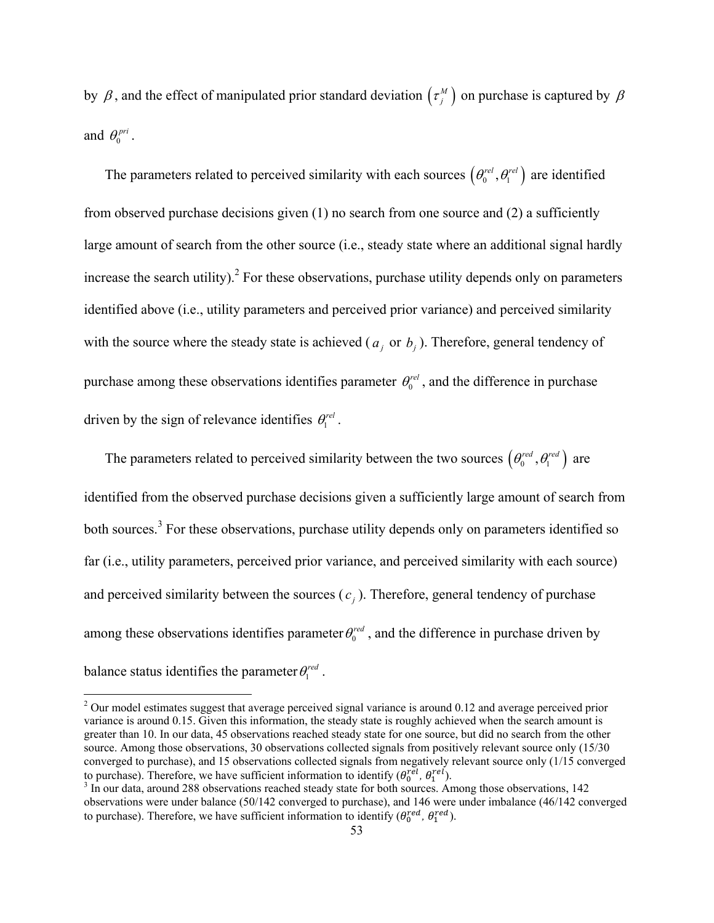by  $\beta$ , and the effect of manipulated prior standard deviation  $(\tau_j^M)$  on purchase is captured by  $\beta$ and  $\theta_0^{pri}$ .

The parameters related to perceived similarity with each sources  $(\theta_0^{rel}, \theta_1^{rel})$  are identified from observed purchase decisions given (1) no search from one source and (2) a sufficiently large amount of search from the other source (i.e., steady state where an additional signal hardly increase the search utility).<sup>2</sup> For these observations, purchase utility depends only on parameters identified above (i.e., utility parameters and perceived prior variance) and perceived similarity with the source where the steady state is achieved ( $a_j$  or  $b_j$ ). Therefore, general tendency of purchase among these observations identifies parameter  $\theta_0^{rel}$ , and the difference in purchase driven by the sign of relevance identifies  $\theta_1^{rel}$ .

The parameters related to perceived similarity between the two sources  $(\theta_0^{red}, \theta_1^{red})$  are identified from the observed purchase decisions given a sufficiently large amount of search from both sources.<sup>3</sup> For these observations, purchase utility depends only on parameters identified so far (i.e., utility parameters, perceived prior variance, and perceived similarity with each source) and perceived similarity between the sources  $(c_i)$ . Therefore, general tendency of purchase among these observations identifies parameter  $\theta_0^{red}$ , and the difference in purchase driven by balance status identifies the parameter  $\theta_1^{red}$ .

 $2$  Our model estimates suggest that average perceived signal variance is around 0.12 and average perceived prior variance is around 0.15. Given this information, the steady state is roughly achieved when the search amount is greater than 10. In our data, 45 observations reached steady state for one source, but did no search from the other source. Among those observations, 30 observations collected signals from positively relevant source only (15/30 converged to purchase), and 15 observations collected signals from negatively relevant source only (1/15 converged to purchase). Therefore, we have sufficient information to identify  $(\theta_0^{rel}, \theta_1^{rel})$ .<br><sup>3</sup> In our data, around 288 observations reached steady state for both sources. An

<sup>&</sup>lt;sup>3</sup> In our data, around 288 observations reached steady state for both sources. Among those observations, 142 observations were under balance (50/142 converged to purchase), and 146 were under imbalance (46/142 converged to purchase). Therefore, we have sufficient information to identify  $(\theta_0^{red}, \theta_1^{red})$ .